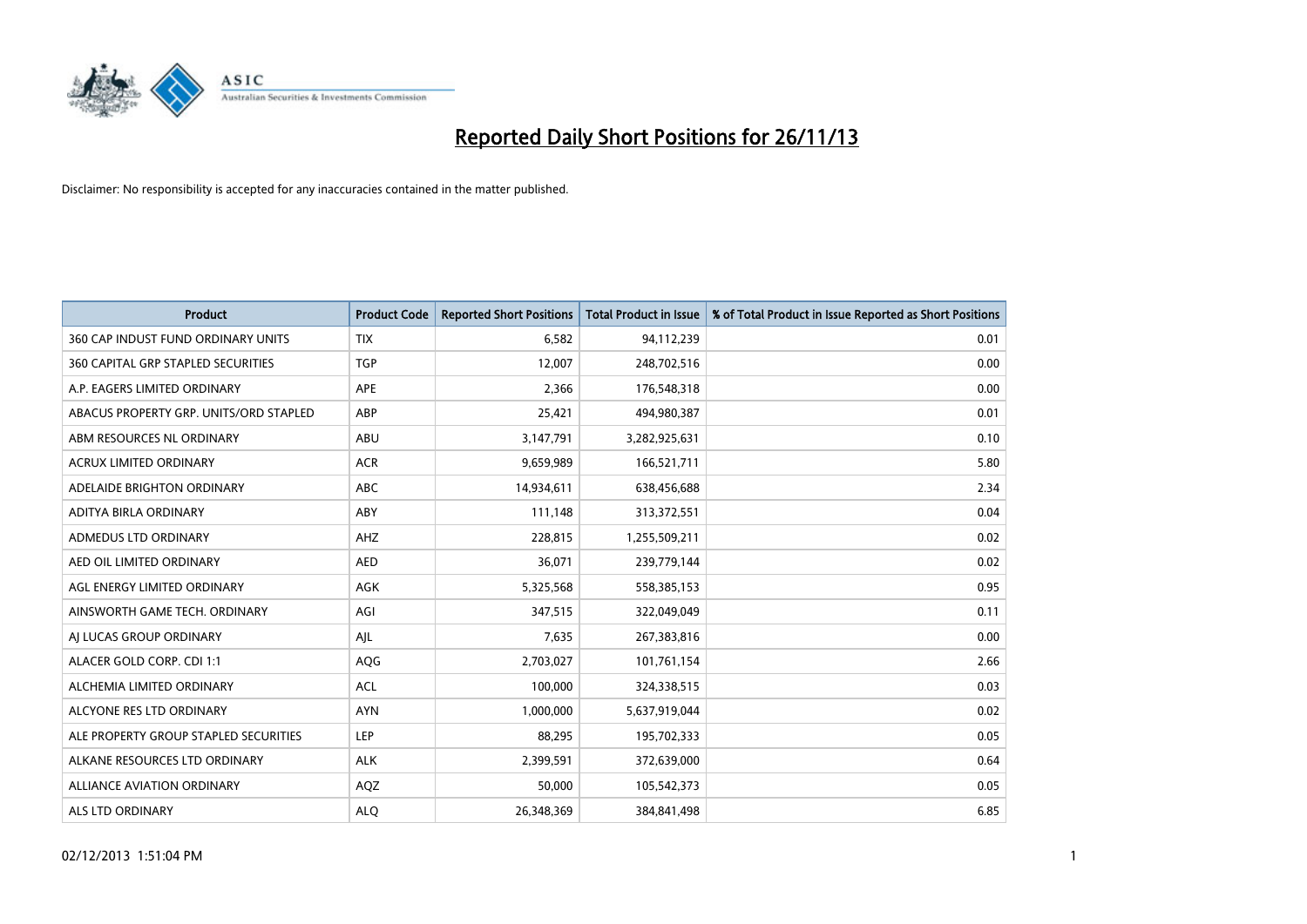

| <b>Product</b>                         | <b>Product Code</b> | <b>Reported Short Positions</b> | <b>Total Product in Issue</b> | % of Total Product in Issue Reported as Short Positions |
|----------------------------------------|---------------------|---------------------------------|-------------------------------|---------------------------------------------------------|
| 360 CAP INDUST FUND ORDINARY UNITS     | <b>TIX</b>          | 6,582                           | 94,112,239                    | 0.01                                                    |
| 360 CAPITAL GRP STAPLED SECURITIES     | <b>TGP</b>          | 12,007                          | 248,702,516                   | 0.00                                                    |
| A.P. EAGERS LIMITED ORDINARY           | APE                 | 2,366                           | 176,548,318                   | 0.00                                                    |
| ABACUS PROPERTY GRP. UNITS/ORD STAPLED | ABP                 | 25,421                          | 494,980,387                   | 0.01                                                    |
| ABM RESOURCES NL ORDINARY              | ABU                 | 3,147,791                       | 3,282,925,631                 | 0.10                                                    |
| <b>ACRUX LIMITED ORDINARY</b>          | <b>ACR</b>          | 9,659,989                       | 166,521,711                   | 5.80                                                    |
| ADELAIDE BRIGHTON ORDINARY             | <b>ABC</b>          | 14,934,611                      | 638,456,688                   | 2.34                                                    |
| ADITYA BIRLA ORDINARY                  | ABY                 | 111,148                         | 313,372,551                   | 0.04                                                    |
| <b>ADMEDUS LTD ORDINARY</b>            | AHZ                 | 228,815                         | 1,255,509,211                 | 0.02                                                    |
| AED OIL LIMITED ORDINARY               | <b>AED</b>          | 36,071                          | 239,779,144                   | 0.02                                                    |
| AGL ENERGY LIMITED ORDINARY            | AGK                 | 5,325,568                       | 558,385,153                   | 0.95                                                    |
| AINSWORTH GAME TECH. ORDINARY          | AGI                 | 347,515                         | 322,049,049                   | 0.11                                                    |
| AI LUCAS GROUP ORDINARY                | AJL                 | 7,635                           | 267,383,816                   | 0.00                                                    |
| ALACER GOLD CORP. CDI 1:1              | AQG                 | 2,703,027                       | 101,761,154                   | 2.66                                                    |
| ALCHEMIA LIMITED ORDINARY              | <b>ACL</b>          | 100,000                         | 324,338,515                   | 0.03                                                    |
| ALCYONE RES LTD ORDINARY               | <b>AYN</b>          | 1,000,000                       | 5,637,919,044                 | 0.02                                                    |
| ALE PROPERTY GROUP STAPLED SECURITIES  | <b>LEP</b>          | 88,295                          | 195,702,333                   | 0.05                                                    |
| ALKANE RESOURCES LTD ORDINARY          | <b>ALK</b>          | 2,399,591                       | 372,639,000                   | 0.64                                                    |
| <b>ALLIANCE AVIATION ORDINARY</b>      | AQZ                 | 50,000                          | 105,542,373                   | 0.05                                                    |
| ALS LTD ORDINARY                       | <b>ALO</b>          | 26,348,369                      | 384, 841, 498                 | 6.85                                                    |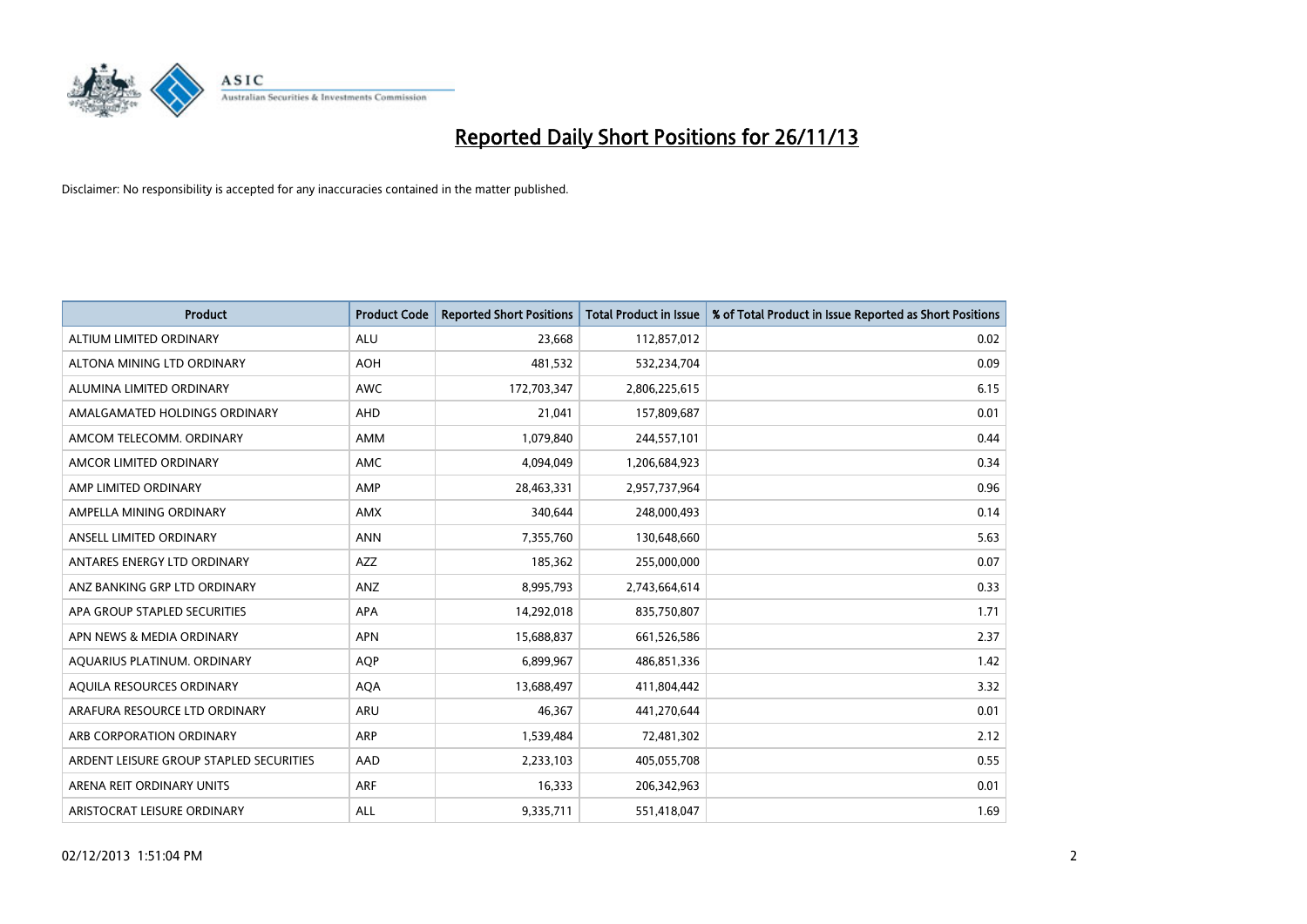

| <b>Product</b>                          | <b>Product Code</b> | <b>Reported Short Positions</b> | <b>Total Product in Issue</b> | % of Total Product in Issue Reported as Short Positions |
|-----------------------------------------|---------------------|---------------------------------|-------------------------------|---------------------------------------------------------|
| ALTIUM LIMITED ORDINARY                 | <b>ALU</b>          | 23,668                          | 112,857,012                   | 0.02                                                    |
| ALTONA MINING LTD ORDINARY              | <b>AOH</b>          | 481,532                         | 532,234,704                   | 0.09                                                    |
| ALUMINA LIMITED ORDINARY                | <b>AWC</b>          | 172,703,347                     | 2,806,225,615                 | 6.15                                                    |
| AMALGAMATED HOLDINGS ORDINARY           | AHD                 | 21,041                          | 157,809,687                   | 0.01                                                    |
| AMCOM TELECOMM, ORDINARY                | AMM                 | 1,079,840                       | 244,557,101                   | 0.44                                                    |
| AMCOR LIMITED ORDINARY                  | AMC                 | 4,094,049                       | 1,206,684,923                 | 0.34                                                    |
| AMP LIMITED ORDINARY                    | AMP                 | 28,463,331                      | 2,957,737,964                 | 0.96                                                    |
| AMPELLA MINING ORDINARY                 | AMX                 | 340,644                         | 248,000,493                   | 0.14                                                    |
| ANSELL LIMITED ORDINARY                 | <b>ANN</b>          | 7,355,760                       | 130,648,660                   | 5.63                                                    |
| ANTARES ENERGY LTD ORDINARY             | AZZ                 | 185,362                         | 255,000,000                   | 0.07                                                    |
| ANZ BANKING GRP LTD ORDINARY            | ANZ                 | 8,995,793                       | 2,743,664,614                 | 0.33                                                    |
| APA GROUP STAPLED SECURITIES            | APA                 | 14,292,018                      | 835,750,807                   | 1.71                                                    |
| APN NEWS & MEDIA ORDINARY               | <b>APN</b>          | 15,688,837                      | 661,526,586                   | 2.37                                                    |
| AQUARIUS PLATINUM. ORDINARY             | AQP                 | 6,899,967                       | 486,851,336                   | 1.42                                                    |
| AQUILA RESOURCES ORDINARY               | <b>AQA</b>          | 13,688,497                      | 411,804,442                   | 3.32                                                    |
| ARAFURA RESOURCE LTD ORDINARY           | ARU                 | 46,367                          | 441,270,644                   | 0.01                                                    |
| ARB CORPORATION ORDINARY                | ARP                 | 1,539,484                       | 72,481,302                    | 2.12                                                    |
| ARDENT LEISURE GROUP STAPLED SECURITIES | AAD                 | 2,233,103                       | 405,055,708                   | 0.55                                                    |
| ARENA REIT ORDINARY UNITS               | <b>ARF</b>          | 16,333                          | 206,342,963                   | 0.01                                                    |
| ARISTOCRAT LEISURE ORDINARY             | ALL                 | 9,335,711                       | 551,418,047                   | 1.69                                                    |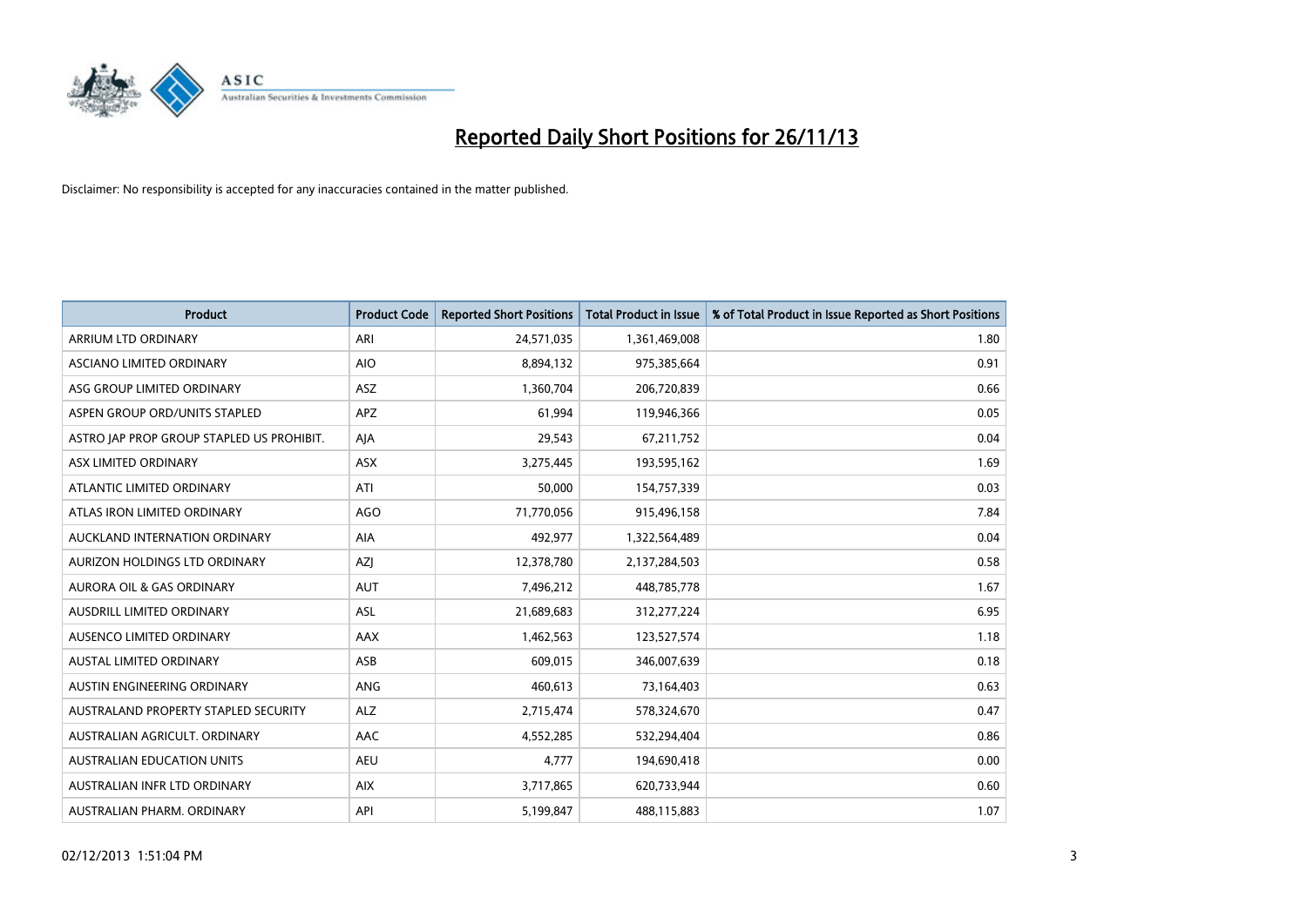

| <b>Product</b>                            | <b>Product Code</b> | <b>Reported Short Positions</b> | <b>Total Product in Issue</b> | % of Total Product in Issue Reported as Short Positions |
|-------------------------------------------|---------------------|---------------------------------|-------------------------------|---------------------------------------------------------|
| ARRIUM LTD ORDINARY                       | ARI                 | 24,571,035                      | 1,361,469,008                 | 1.80                                                    |
| ASCIANO LIMITED ORDINARY                  | <b>AIO</b>          | 8,894,132                       | 975,385,664                   | 0.91                                                    |
| ASG GROUP LIMITED ORDINARY                | <b>ASZ</b>          | 1,360,704                       | 206,720,839                   | 0.66                                                    |
| ASPEN GROUP ORD/UNITS STAPLED             | APZ                 | 61,994                          | 119,946,366                   | 0.05                                                    |
| ASTRO JAP PROP GROUP STAPLED US PROHIBIT. | AJA                 | 29,543                          | 67,211,752                    | 0.04                                                    |
| ASX LIMITED ORDINARY                      | ASX                 | 3,275,445                       | 193,595,162                   | 1.69                                                    |
| ATLANTIC LIMITED ORDINARY                 | ATI                 | 50,000                          | 154,757,339                   | 0.03                                                    |
| ATLAS IRON LIMITED ORDINARY               | <b>AGO</b>          | 71,770,056                      | 915,496,158                   | 7.84                                                    |
| AUCKLAND INTERNATION ORDINARY             | <b>AIA</b>          | 492,977                         | 1,322,564,489                 | 0.04                                                    |
| AURIZON HOLDINGS LTD ORDINARY             | AZI                 | 12,378,780                      | 2,137,284,503                 | 0.58                                                    |
| AURORA OIL & GAS ORDINARY                 | <b>AUT</b>          | 7,496,212                       | 448,785,778                   | 1.67                                                    |
| AUSDRILL LIMITED ORDINARY                 | ASL                 | 21,689,683                      | 312,277,224                   | 6.95                                                    |
| AUSENCO LIMITED ORDINARY                  | AAX                 | 1,462,563                       | 123,527,574                   | 1.18                                                    |
| <b>AUSTAL LIMITED ORDINARY</b>            | ASB                 | 609,015                         | 346,007,639                   | 0.18                                                    |
| AUSTIN ENGINEERING ORDINARY               | ANG                 | 460,613                         | 73,164,403                    | 0.63                                                    |
| AUSTRALAND PROPERTY STAPLED SECURITY      | <b>ALZ</b>          | 2,715,474                       | 578,324,670                   | 0.47                                                    |
| AUSTRALIAN AGRICULT. ORDINARY             | AAC                 | 4,552,285                       | 532,294,404                   | 0.86                                                    |
| AUSTRALIAN EDUCATION UNITS                | <b>AEU</b>          | 4,777                           | 194,690,418                   | 0.00                                                    |
| AUSTRALIAN INFR LTD ORDINARY              | <b>AIX</b>          | 3,717,865                       | 620,733,944                   | 0.60                                                    |
| AUSTRALIAN PHARM. ORDINARY                | API                 | 5,199,847                       | 488,115,883                   | 1.07                                                    |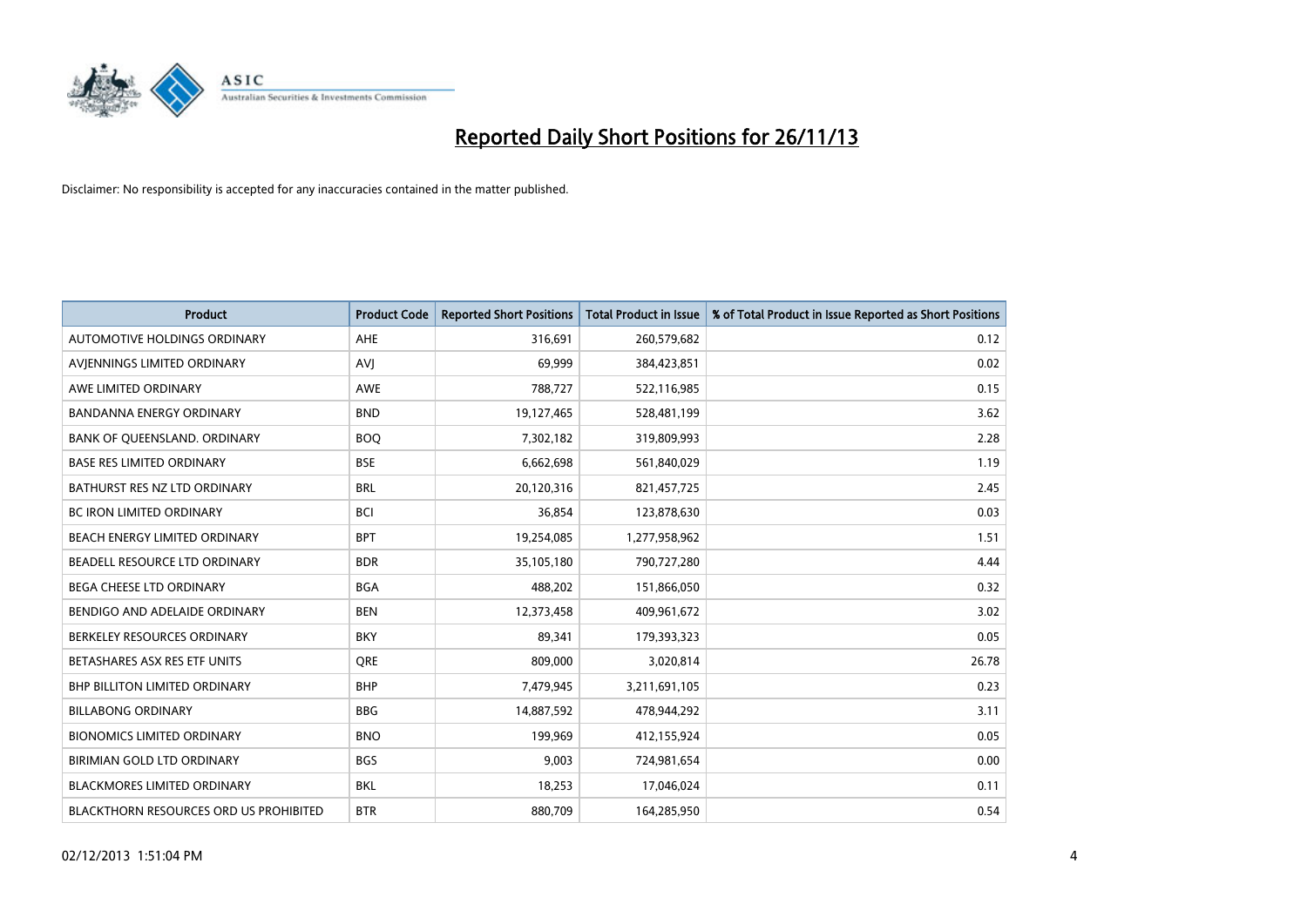

| <b>Product</b>                                | <b>Product Code</b> | <b>Reported Short Positions</b> | <b>Total Product in Issue</b> | % of Total Product in Issue Reported as Short Positions |
|-----------------------------------------------|---------------------|---------------------------------|-------------------------------|---------------------------------------------------------|
| AUTOMOTIVE HOLDINGS ORDINARY                  | AHE                 | 316,691                         | 260,579,682                   | 0.12                                                    |
| AVIENNINGS LIMITED ORDINARY                   | <b>AVI</b>          | 69,999                          | 384,423,851                   | 0.02                                                    |
| AWE LIMITED ORDINARY                          | <b>AWE</b>          | 788,727                         | 522,116,985                   | 0.15                                                    |
| BANDANNA ENERGY ORDINARY                      | <b>BND</b>          | 19,127,465                      | 528,481,199                   | 3.62                                                    |
| BANK OF QUEENSLAND. ORDINARY                  | <b>BOQ</b>          | 7,302,182                       | 319,809,993                   | 2.28                                                    |
| <b>BASE RES LIMITED ORDINARY</b>              | <b>BSE</b>          | 6,662,698                       | 561,840,029                   | 1.19                                                    |
| BATHURST RES NZ LTD ORDINARY                  | <b>BRL</b>          | 20,120,316                      | 821,457,725                   | 2.45                                                    |
| <b>BC IRON LIMITED ORDINARY</b>               | <b>BCI</b>          | 36,854                          | 123,878,630                   | 0.03                                                    |
| BEACH ENERGY LIMITED ORDINARY                 | <b>BPT</b>          | 19,254,085                      | 1,277,958,962                 | 1.51                                                    |
| BEADELL RESOURCE LTD ORDINARY                 | <b>BDR</b>          | 35,105,180                      | 790,727,280                   | 4.44                                                    |
| BEGA CHEESE LTD ORDINARY                      | <b>BGA</b>          | 488,202                         | 151,866,050                   | 0.32                                                    |
| BENDIGO AND ADELAIDE ORDINARY                 | <b>BEN</b>          | 12,373,458                      | 409,961,672                   | 3.02                                                    |
| BERKELEY RESOURCES ORDINARY                   | <b>BKY</b>          | 89,341                          | 179,393,323                   | 0.05                                                    |
| BETASHARES ASX RES ETF UNITS                  | <b>ORE</b>          | 809,000                         | 3,020,814                     | 26.78                                                   |
| <b>BHP BILLITON LIMITED ORDINARY</b>          | <b>BHP</b>          | 7,479,945                       | 3,211,691,105                 | 0.23                                                    |
| <b>BILLABONG ORDINARY</b>                     | <b>BBG</b>          | 14,887,592                      | 478,944,292                   | 3.11                                                    |
| <b>BIONOMICS LIMITED ORDINARY</b>             | <b>BNO</b>          | 199,969                         | 412,155,924                   | 0.05                                                    |
| BIRIMIAN GOLD LTD ORDINARY                    | <b>BGS</b>          | 9,003                           | 724,981,654                   | 0.00                                                    |
| BLACKMORES LIMITED ORDINARY                   | <b>BKL</b>          | 18,253                          | 17,046,024                    | 0.11                                                    |
| <b>BLACKTHORN RESOURCES ORD US PROHIBITED</b> | <b>BTR</b>          | 880,709                         | 164,285,950                   | 0.54                                                    |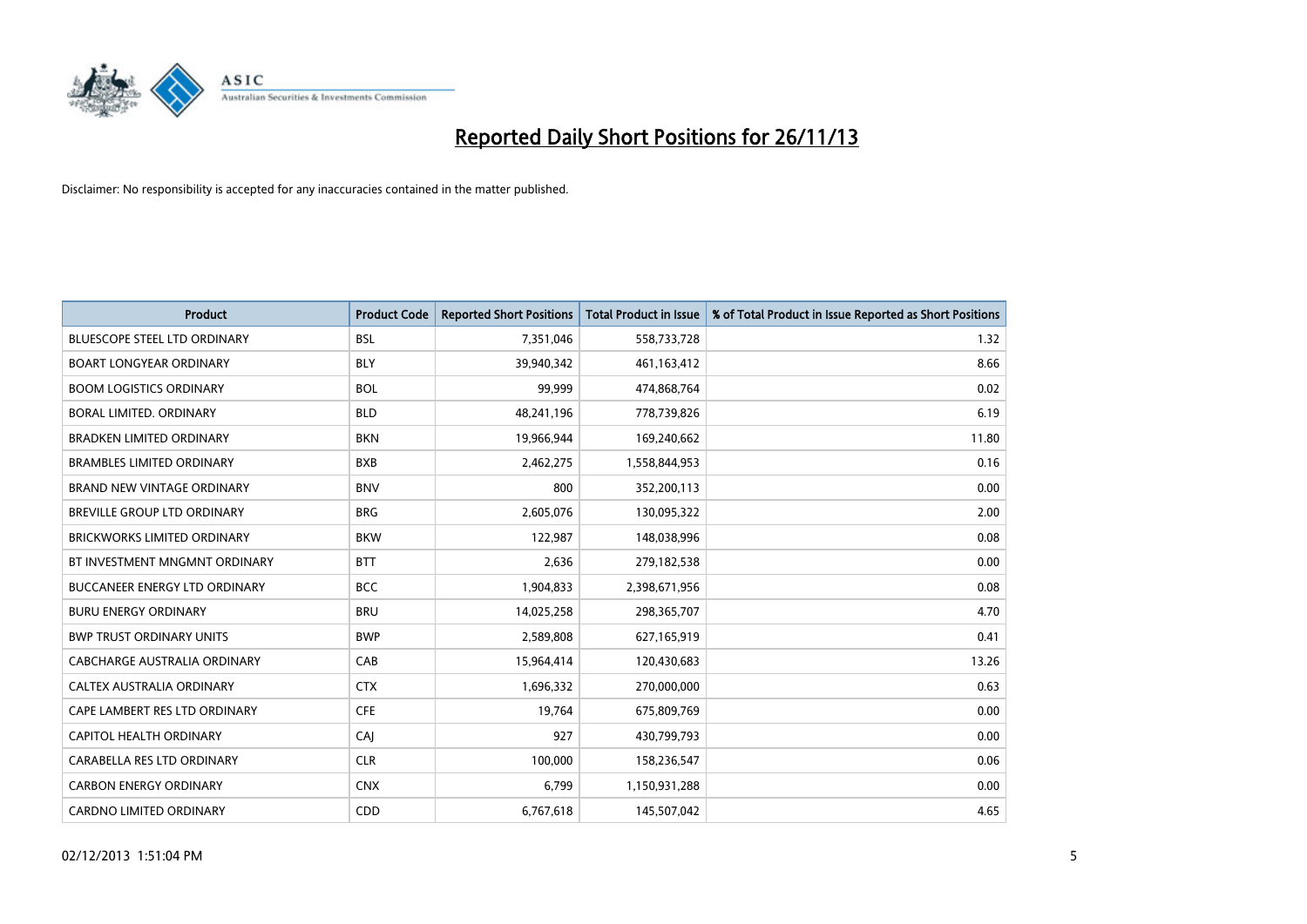

| <b>Product</b>                      | <b>Product Code</b> | <b>Reported Short Positions</b> | <b>Total Product in Issue</b> | % of Total Product in Issue Reported as Short Positions |
|-------------------------------------|---------------------|---------------------------------|-------------------------------|---------------------------------------------------------|
| <b>BLUESCOPE STEEL LTD ORDINARY</b> | <b>BSL</b>          | 7,351,046                       | 558,733,728                   | 1.32                                                    |
| <b>BOART LONGYEAR ORDINARY</b>      | <b>BLY</b>          | 39,940,342                      | 461, 163, 412                 | 8.66                                                    |
| <b>BOOM LOGISTICS ORDINARY</b>      | <b>BOL</b>          | 99,999                          | 474,868,764                   | 0.02                                                    |
| BORAL LIMITED. ORDINARY             | <b>BLD</b>          | 48,241,196                      | 778,739,826                   | 6.19                                                    |
| <b>BRADKEN LIMITED ORDINARY</b>     | <b>BKN</b>          | 19,966,944                      | 169,240,662                   | 11.80                                                   |
| <b>BRAMBLES LIMITED ORDINARY</b>    | <b>BXB</b>          | 2,462,275                       | 1,558,844,953                 | 0.16                                                    |
| BRAND NEW VINTAGE ORDINARY          | <b>BNV</b>          | 800                             | 352,200,113                   | 0.00                                                    |
| BREVILLE GROUP LTD ORDINARY         | <b>BRG</b>          | 2,605,076                       | 130,095,322                   | 2.00                                                    |
| <b>BRICKWORKS LIMITED ORDINARY</b>  | <b>BKW</b>          | 122,987                         | 148,038,996                   | 0.08                                                    |
| BT INVESTMENT MNGMNT ORDINARY       | <b>BTT</b>          | 2,636                           | 279,182,538                   | 0.00                                                    |
| BUCCANEER ENERGY LTD ORDINARY       | <b>BCC</b>          | 1,904,833                       | 2,398,671,956                 | 0.08                                                    |
| <b>BURU ENERGY ORDINARY</b>         | <b>BRU</b>          | 14,025,258                      | 298,365,707                   | 4.70                                                    |
| <b>BWP TRUST ORDINARY UNITS</b>     | <b>BWP</b>          | 2,589,808                       | 627,165,919                   | 0.41                                                    |
| <b>CABCHARGE AUSTRALIA ORDINARY</b> | CAB                 | 15,964,414                      | 120,430,683                   | 13.26                                                   |
| CALTEX AUSTRALIA ORDINARY           | <b>CTX</b>          | 1,696,332                       | 270,000,000                   | 0.63                                                    |
| CAPE LAMBERT RES LTD ORDINARY       | <b>CFE</b>          | 19,764                          | 675,809,769                   | 0.00                                                    |
| CAPITOL HEALTH ORDINARY             | CAJ                 | 927                             | 430,799,793                   | 0.00                                                    |
| CARABELLA RES LTD ORDINARY          | <b>CLR</b>          | 100,000                         | 158,236,547                   | 0.06                                                    |
| <b>CARBON ENERGY ORDINARY</b>       | <b>CNX</b>          | 6,799                           | 1,150,931,288                 | 0.00                                                    |
| <b>CARDNO LIMITED ORDINARY</b>      | CDD                 | 6,767,618                       | 145,507,042                   | 4.65                                                    |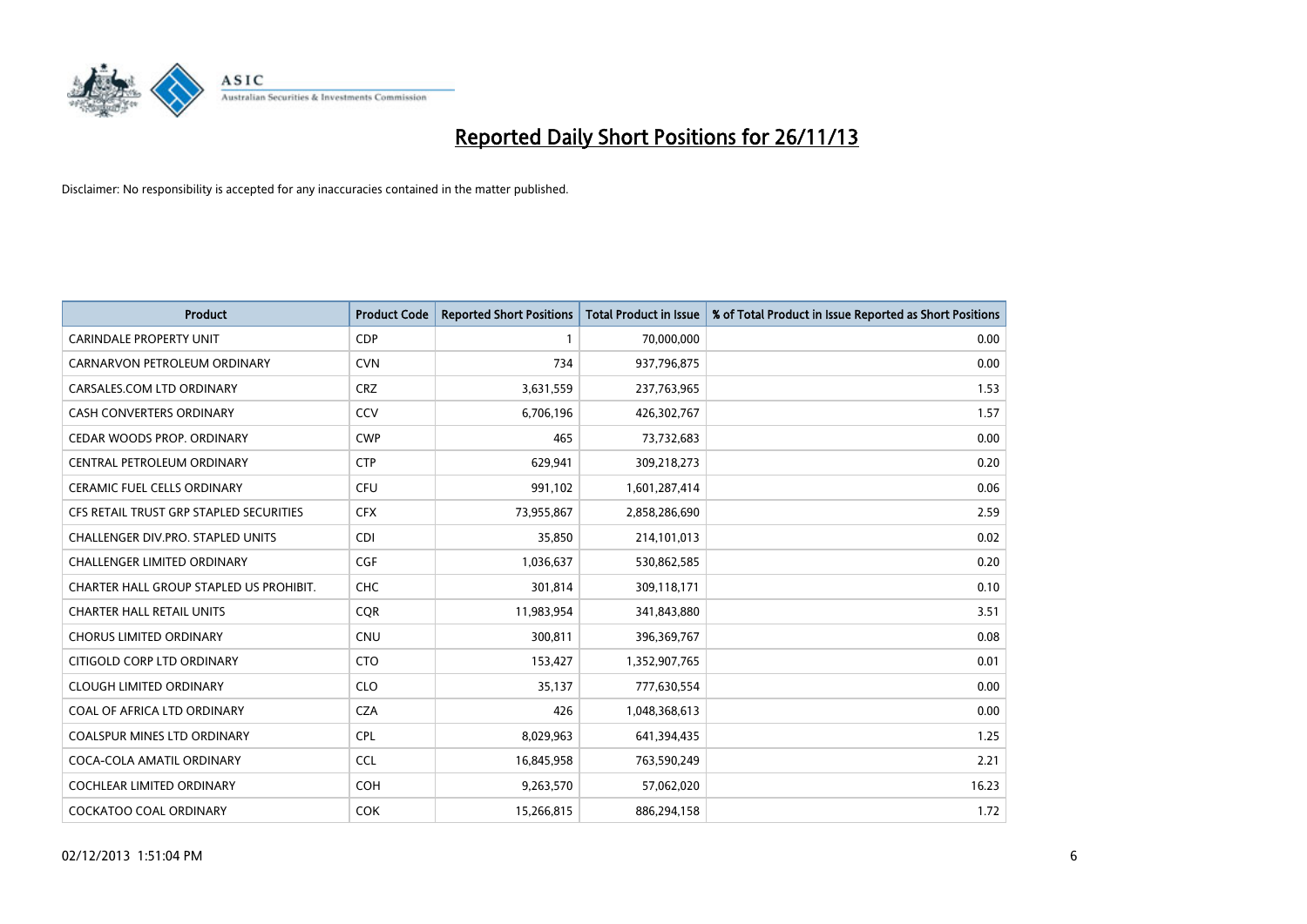

| <b>Product</b>                          | <b>Product Code</b> | <b>Reported Short Positions</b> | <b>Total Product in Issue</b> | % of Total Product in Issue Reported as Short Positions |
|-----------------------------------------|---------------------|---------------------------------|-------------------------------|---------------------------------------------------------|
| <b>CARINDALE PROPERTY UNIT</b>          | <b>CDP</b>          | 1                               | 70,000,000                    | 0.00                                                    |
| CARNARVON PETROLEUM ORDINARY            | <b>CVN</b>          | 734                             | 937,796,875                   | 0.00                                                    |
| CARSALES.COM LTD ORDINARY               | <b>CRZ</b>          | 3,631,559                       | 237,763,965                   | 1.53                                                    |
| <b>CASH CONVERTERS ORDINARY</b>         | CCV                 | 6,706,196                       | 426,302,767                   | 1.57                                                    |
| CEDAR WOODS PROP. ORDINARY              | <b>CWP</b>          | 465                             | 73,732,683                    | 0.00                                                    |
| CENTRAL PETROLEUM ORDINARY              | <b>CTP</b>          | 629,941                         | 309,218,273                   | 0.20                                                    |
| <b>CERAMIC FUEL CELLS ORDINARY</b>      | <b>CFU</b>          | 991,102                         | 1,601,287,414                 | 0.06                                                    |
| CFS RETAIL TRUST GRP STAPLED SECURITIES | <b>CFX</b>          | 73,955,867                      | 2,858,286,690                 | 2.59                                                    |
| CHALLENGER DIV.PRO. STAPLED UNITS       | <b>CDI</b>          | 35,850                          | 214,101,013                   | 0.02                                                    |
| <b>CHALLENGER LIMITED ORDINARY</b>      | <b>CGF</b>          | 1,036,637                       | 530,862,585                   | 0.20                                                    |
| CHARTER HALL GROUP STAPLED US PROHIBIT. | <b>CHC</b>          | 301,814                         | 309,118,171                   | 0.10                                                    |
| <b>CHARTER HALL RETAIL UNITS</b>        | <b>CQR</b>          | 11,983,954                      | 341,843,880                   | 3.51                                                    |
| <b>CHORUS LIMITED ORDINARY</b>          | <b>CNU</b>          | 300,811                         | 396,369,767                   | 0.08                                                    |
| CITIGOLD CORP LTD ORDINARY              | <b>CTO</b>          | 153,427                         | 1,352,907,765                 | 0.01                                                    |
| <b>CLOUGH LIMITED ORDINARY</b>          | <b>CLO</b>          | 35,137                          | 777,630,554                   | 0.00                                                    |
| COAL OF AFRICA LTD ORDINARY             | <b>CZA</b>          | 426                             | 1,048,368,613                 | 0.00                                                    |
| <b>COALSPUR MINES LTD ORDINARY</b>      | <b>CPL</b>          | 8,029,963                       | 641,394,435                   | 1.25                                                    |
| COCA-COLA AMATIL ORDINARY               | <b>CCL</b>          | 16,845,958                      | 763,590,249                   | 2.21                                                    |
| <b>COCHLEAR LIMITED ORDINARY</b>        | <b>COH</b>          | 9,263,570                       | 57,062,020                    | 16.23                                                   |
| <b>COCKATOO COAL ORDINARY</b>           | <b>COK</b>          | 15,266,815                      | 886,294,158                   | 1.72                                                    |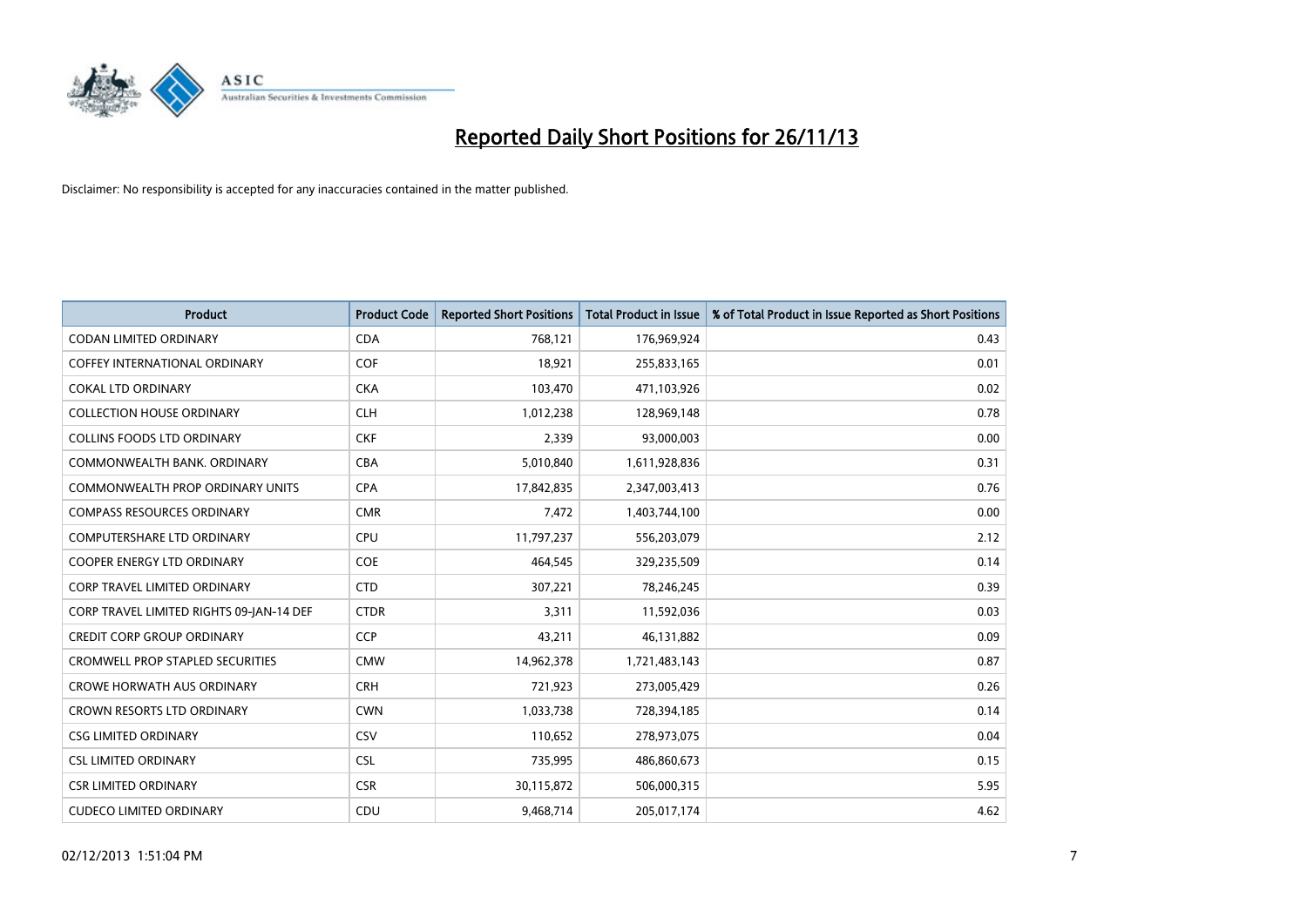

| <b>Product</b>                           | <b>Product Code</b> | <b>Reported Short Positions</b> | <b>Total Product in Issue</b> | % of Total Product in Issue Reported as Short Positions |
|------------------------------------------|---------------------|---------------------------------|-------------------------------|---------------------------------------------------------|
| <b>CODAN LIMITED ORDINARY</b>            | <b>CDA</b>          | 768,121                         | 176,969,924                   | 0.43                                                    |
| <b>COFFEY INTERNATIONAL ORDINARY</b>     | <b>COF</b>          | 18,921                          | 255,833,165                   | 0.01                                                    |
| <b>COKAL LTD ORDINARY</b>                | <b>CKA</b>          | 103,470                         | 471,103,926                   | 0.02                                                    |
| <b>COLLECTION HOUSE ORDINARY</b>         | <b>CLH</b>          | 1,012,238                       | 128,969,148                   | 0.78                                                    |
| <b>COLLINS FOODS LTD ORDINARY</b>        | <b>CKF</b>          | 2,339                           | 93,000,003                    | 0.00                                                    |
| COMMONWEALTH BANK, ORDINARY              | <b>CBA</b>          | 5,010,840                       | 1,611,928,836                 | 0.31                                                    |
| <b>COMMONWEALTH PROP ORDINARY UNITS</b>  | <b>CPA</b>          | 17,842,835                      | 2,347,003,413                 | 0.76                                                    |
| <b>COMPASS RESOURCES ORDINARY</b>        | <b>CMR</b>          | 7,472                           | 1,403,744,100                 | 0.00                                                    |
| COMPUTERSHARE LTD ORDINARY               | <b>CPU</b>          | 11,797,237                      | 556,203,079                   | 2.12                                                    |
| <b>COOPER ENERGY LTD ORDINARY</b>        | <b>COE</b>          | 464,545                         | 329,235,509                   | 0.14                                                    |
| CORP TRAVEL LIMITED ORDINARY             | <b>CTD</b>          | 307,221                         | 78,246,245                    | 0.39                                                    |
| CORP TRAVEL LIMITED RIGHTS 09-JAN-14 DEF | <b>CTDR</b>         | 3,311                           | 11,592,036                    | 0.03                                                    |
| <b>CREDIT CORP GROUP ORDINARY</b>        | <b>CCP</b>          | 43,211                          | 46,131,882                    | 0.09                                                    |
| <b>CROMWELL PROP STAPLED SECURITIES</b>  | <b>CMW</b>          | 14,962,378                      | 1,721,483,143                 | 0.87                                                    |
| <b>CROWE HORWATH AUS ORDINARY</b>        | <b>CRH</b>          | 721,923                         | 273,005,429                   | 0.26                                                    |
| CROWN RESORTS LTD ORDINARY               | <b>CWN</b>          | 1,033,738                       | 728,394,185                   | 0.14                                                    |
| <b>CSG LIMITED ORDINARY</b>              | <b>CSV</b>          | 110,652                         | 278,973,075                   | 0.04                                                    |
| <b>CSL LIMITED ORDINARY</b>              | <b>CSL</b>          | 735,995                         | 486,860,673                   | 0.15                                                    |
| <b>CSR LIMITED ORDINARY</b>              | <b>CSR</b>          | 30,115,872                      | 506,000,315                   | 5.95                                                    |
| <b>CUDECO LIMITED ORDINARY</b>           | CDU                 | 9,468,714                       | 205,017,174                   | 4.62                                                    |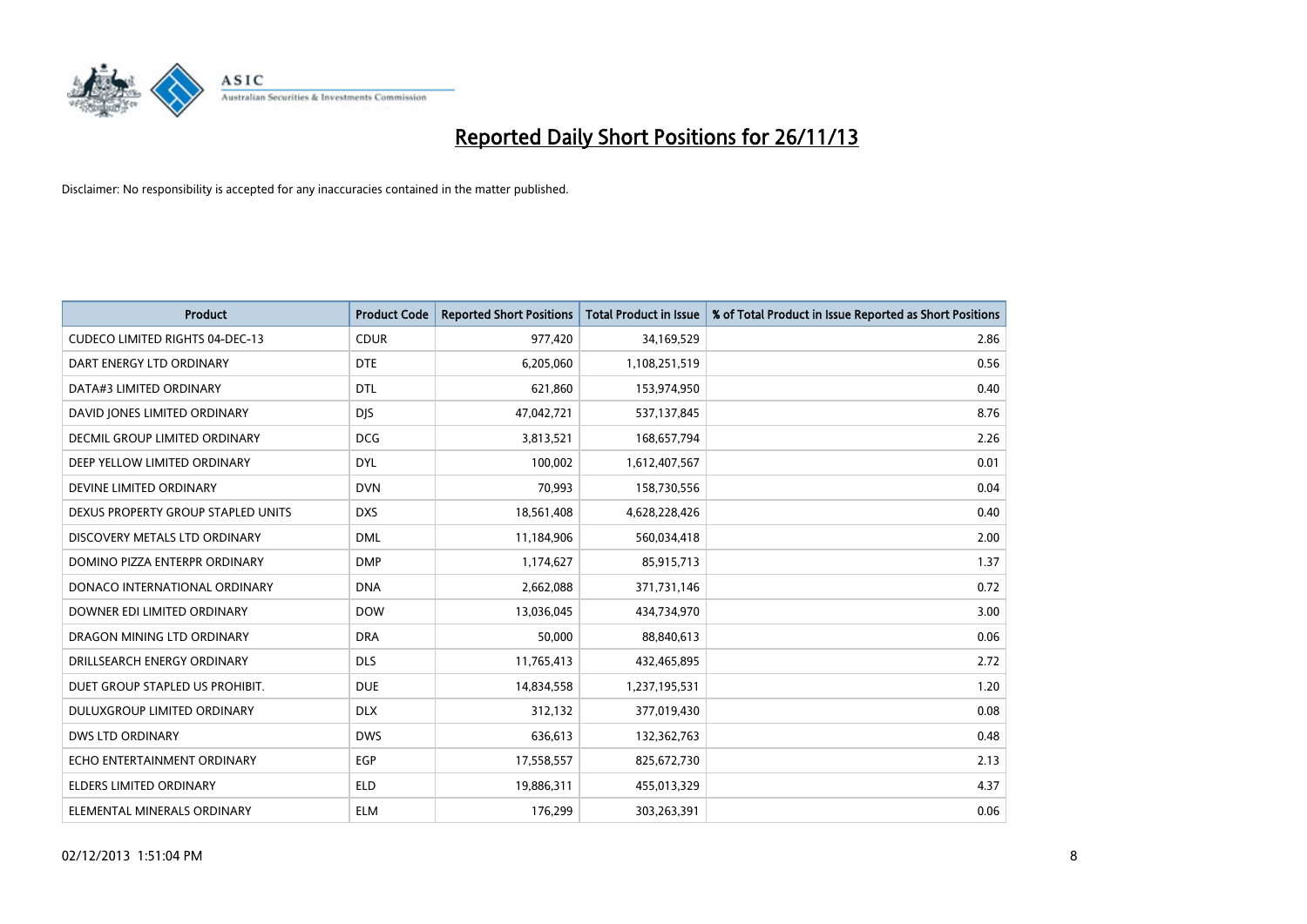

| <b>Product</b>                         | <b>Product Code</b> | <b>Reported Short Positions</b> | <b>Total Product in Issue</b> | % of Total Product in Issue Reported as Short Positions |
|----------------------------------------|---------------------|---------------------------------|-------------------------------|---------------------------------------------------------|
| <b>CUDECO LIMITED RIGHTS 04-DEC-13</b> | <b>CDUR</b>         | 977,420                         | 34,169,529                    | 2.86                                                    |
| DART ENERGY LTD ORDINARY               | <b>DTE</b>          | 6,205,060                       | 1,108,251,519                 | 0.56                                                    |
| DATA#3 LIMITED ORDINARY                | <b>DTL</b>          | 621,860                         | 153,974,950                   | 0.40                                                    |
| DAVID JONES LIMITED ORDINARY           | <b>DJS</b>          | 47,042,721                      | 537,137,845                   | 8.76                                                    |
| DECMIL GROUP LIMITED ORDINARY          | <b>DCG</b>          | 3,813,521                       | 168,657,794                   | 2.26                                                    |
| DEEP YELLOW LIMITED ORDINARY           | <b>DYL</b>          | 100,002                         | 1,612,407,567                 | 0.01                                                    |
| DEVINE LIMITED ORDINARY                | <b>DVN</b>          | 70,993                          | 158,730,556                   | 0.04                                                    |
| DEXUS PROPERTY GROUP STAPLED UNITS     | <b>DXS</b>          | 18,561,408                      | 4,628,228,426                 | 0.40                                                    |
| DISCOVERY METALS LTD ORDINARY          | <b>DML</b>          | 11,184,906                      | 560,034,418                   | 2.00                                                    |
| DOMINO PIZZA ENTERPR ORDINARY          | <b>DMP</b>          | 1,174,627                       | 85,915,713                    | 1.37                                                    |
| DONACO INTERNATIONAL ORDINARY          | <b>DNA</b>          | 2,662,088                       | 371,731,146                   | 0.72                                                    |
| DOWNER EDI LIMITED ORDINARY            | <b>DOW</b>          | 13,036,045                      | 434,734,970                   | 3.00                                                    |
| DRAGON MINING LTD ORDINARY             | <b>DRA</b>          | 50,000                          | 88,840,613                    | 0.06                                                    |
| DRILLSEARCH ENERGY ORDINARY            | <b>DLS</b>          | 11,765,413                      | 432,465,895                   | 2.72                                                    |
| DUET GROUP STAPLED US PROHIBIT.        | <b>DUE</b>          | 14,834,558                      | 1,237,195,531                 | 1.20                                                    |
| DULUXGROUP LIMITED ORDINARY            | <b>DLX</b>          | 312,132                         | 377,019,430                   | 0.08                                                    |
| <b>DWS LTD ORDINARY</b>                | <b>DWS</b>          | 636,613                         | 132,362,763                   | 0.48                                                    |
| ECHO ENTERTAINMENT ORDINARY            | <b>EGP</b>          | 17,558,557                      | 825,672,730                   | 2.13                                                    |
| <b>ELDERS LIMITED ORDINARY</b>         | <b>ELD</b>          | 19,886,311                      | 455,013,329                   | 4.37                                                    |
| ELEMENTAL MINERALS ORDINARY            | <b>ELM</b>          | 176,299                         | 303,263,391                   | 0.06                                                    |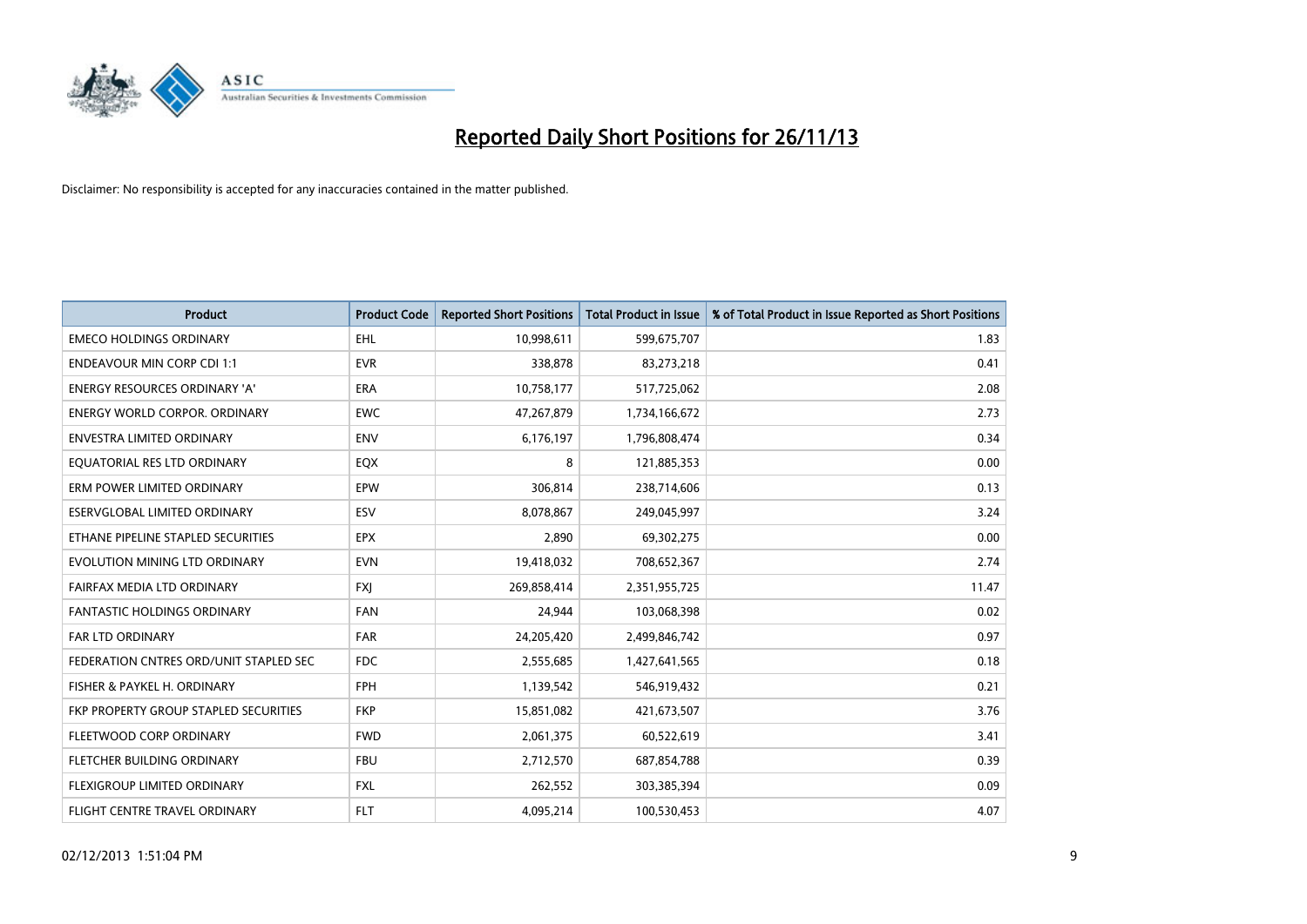

| <b>Product</b>                         | <b>Product Code</b> | <b>Reported Short Positions</b> | <b>Total Product in Issue</b> | % of Total Product in Issue Reported as Short Positions |
|----------------------------------------|---------------------|---------------------------------|-------------------------------|---------------------------------------------------------|
| <b>EMECO HOLDINGS ORDINARY</b>         | <b>EHL</b>          | 10,998,611                      | 599,675,707                   | 1.83                                                    |
| <b>ENDEAVOUR MIN CORP CDI 1:1</b>      | <b>EVR</b>          | 338,878                         | 83,273,218                    | 0.41                                                    |
| <b>ENERGY RESOURCES ORDINARY 'A'</b>   | <b>ERA</b>          | 10,758,177                      | 517,725,062                   | 2.08                                                    |
| ENERGY WORLD CORPOR. ORDINARY          | <b>EWC</b>          | 47,267,879                      | 1,734,166,672                 | 2.73                                                    |
| <b>ENVESTRA LIMITED ORDINARY</b>       | <b>ENV</b>          | 6,176,197                       | 1,796,808,474                 | 0.34                                                    |
| EQUATORIAL RES LTD ORDINARY            | EQX                 | 8                               | 121,885,353                   | 0.00                                                    |
| ERM POWER LIMITED ORDINARY             | <b>EPW</b>          | 306,814                         | 238,714,606                   | 0.13                                                    |
| ESERVGLOBAL LIMITED ORDINARY           | ESV                 | 8,078,867                       | 249,045,997                   | 3.24                                                    |
| ETHANE PIPELINE STAPLED SECURITIES     | <b>EPX</b>          | 2,890                           | 69,302,275                    | 0.00                                                    |
| EVOLUTION MINING LTD ORDINARY          | <b>EVN</b>          | 19,418,032                      | 708,652,367                   | 2.74                                                    |
| FAIRFAX MEDIA LTD ORDINARY             | <b>FXI</b>          | 269,858,414                     | 2,351,955,725                 | 11.47                                                   |
| <b>FANTASTIC HOLDINGS ORDINARY</b>     | <b>FAN</b>          | 24,944                          | 103,068,398                   | 0.02                                                    |
| FAR LTD ORDINARY                       | <b>FAR</b>          | 24,205,420                      | 2,499,846,742                 | 0.97                                                    |
| FEDERATION CNTRES ORD/UNIT STAPLED SEC | <b>FDC</b>          | 2,555,685                       | 1,427,641,565                 | 0.18                                                    |
| FISHER & PAYKEL H. ORDINARY            | <b>FPH</b>          | 1,139,542                       | 546,919,432                   | 0.21                                                    |
| FKP PROPERTY GROUP STAPLED SECURITIES  | <b>FKP</b>          | 15,851,082                      | 421,673,507                   | 3.76                                                    |
| FLEETWOOD CORP ORDINARY                | <b>FWD</b>          | 2,061,375                       | 60,522,619                    | 3.41                                                    |
| FLETCHER BUILDING ORDINARY             | <b>FBU</b>          | 2,712,570                       | 687,854,788                   | 0.39                                                    |
| FLEXIGROUP LIMITED ORDINARY            | <b>FXL</b>          | 262,552                         | 303,385,394                   | 0.09                                                    |
| FLIGHT CENTRE TRAVEL ORDINARY          | <b>FLT</b>          | 4,095,214                       | 100,530,453                   | 4.07                                                    |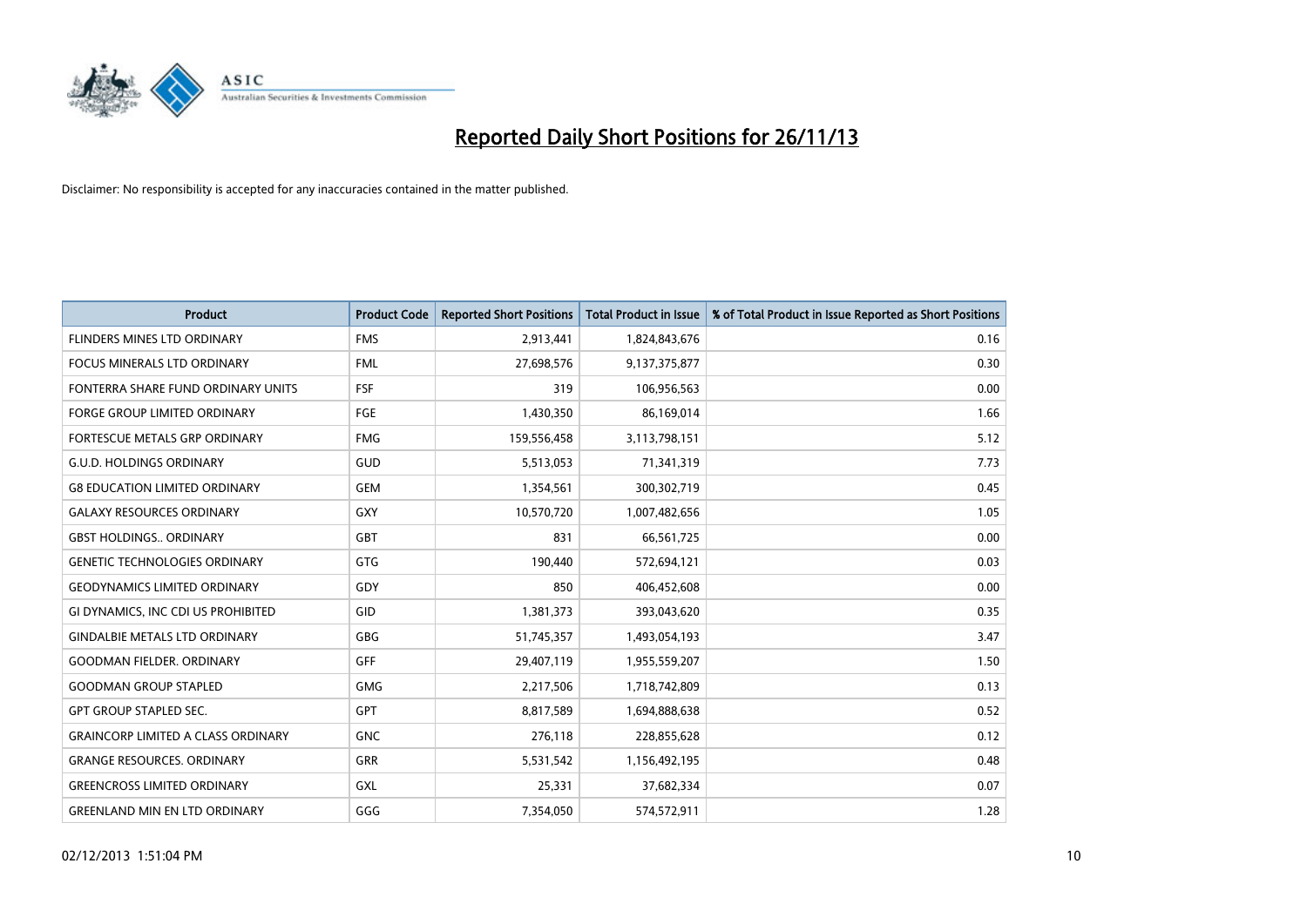

| <b>Product</b>                            | <b>Product Code</b> | <b>Reported Short Positions</b> | <b>Total Product in Issue</b> | % of Total Product in Issue Reported as Short Positions |
|-------------------------------------------|---------------------|---------------------------------|-------------------------------|---------------------------------------------------------|
| FLINDERS MINES LTD ORDINARY               | <b>FMS</b>          | 2,913,441                       | 1,824,843,676                 | 0.16                                                    |
| <b>FOCUS MINERALS LTD ORDINARY</b>        | <b>FML</b>          | 27,698,576                      | 9,137,375,877                 | 0.30                                                    |
| FONTERRA SHARE FUND ORDINARY UNITS        | <b>FSF</b>          | 319                             | 106,956,563                   | 0.00                                                    |
| <b>FORGE GROUP LIMITED ORDINARY</b>       | <b>FGE</b>          | 1,430,350                       | 86,169,014                    | 1.66                                                    |
| FORTESCUE METALS GRP ORDINARY             | <b>FMG</b>          | 159,556,458                     | 3,113,798,151                 | 5.12                                                    |
| <b>G.U.D. HOLDINGS ORDINARY</b>           | GUD                 | 5,513,053                       | 71,341,319                    | 7.73                                                    |
| <b>G8 EDUCATION LIMITED ORDINARY</b>      | <b>GEM</b>          | 1,354,561                       | 300,302,719                   | 0.45                                                    |
| <b>GALAXY RESOURCES ORDINARY</b>          | <b>GXY</b>          | 10,570,720                      | 1,007,482,656                 | 1.05                                                    |
| <b>GBST HOLDINGS., ORDINARY</b>           | <b>GBT</b>          | 831                             | 66,561,725                    | 0.00                                                    |
| <b>GENETIC TECHNOLOGIES ORDINARY</b>      | <b>GTG</b>          | 190,440                         | 572,694,121                   | 0.03                                                    |
| <b>GEODYNAMICS LIMITED ORDINARY</b>       | GDY                 | 850                             | 406,452,608                   | 0.00                                                    |
| GI DYNAMICS, INC CDI US PROHIBITED        | GID                 | 1,381,373                       | 393,043,620                   | 0.35                                                    |
| <b>GINDALBIE METALS LTD ORDINARY</b>      | <b>GBG</b>          | 51,745,357                      | 1,493,054,193                 | 3.47                                                    |
| <b>GOODMAN FIELDER, ORDINARY</b>          | <b>GFF</b>          | 29,407,119                      | 1,955,559,207                 | 1.50                                                    |
| <b>GOODMAN GROUP STAPLED</b>              | <b>GMG</b>          | 2,217,506                       | 1,718,742,809                 | 0.13                                                    |
| <b>GPT GROUP STAPLED SEC.</b>             | GPT                 | 8,817,589                       | 1,694,888,638                 | 0.52                                                    |
| <b>GRAINCORP LIMITED A CLASS ORDINARY</b> | <b>GNC</b>          | 276,118                         | 228,855,628                   | 0.12                                                    |
| <b>GRANGE RESOURCES, ORDINARY</b>         | GRR                 | 5,531,542                       | 1,156,492,195                 | 0.48                                                    |
| <b>GREENCROSS LIMITED ORDINARY</b>        | <b>GXL</b>          | 25,331                          | 37,682,334                    | 0.07                                                    |
| <b>GREENLAND MIN EN LTD ORDINARY</b>      | GGG                 | 7,354,050                       | 574,572,911                   | 1.28                                                    |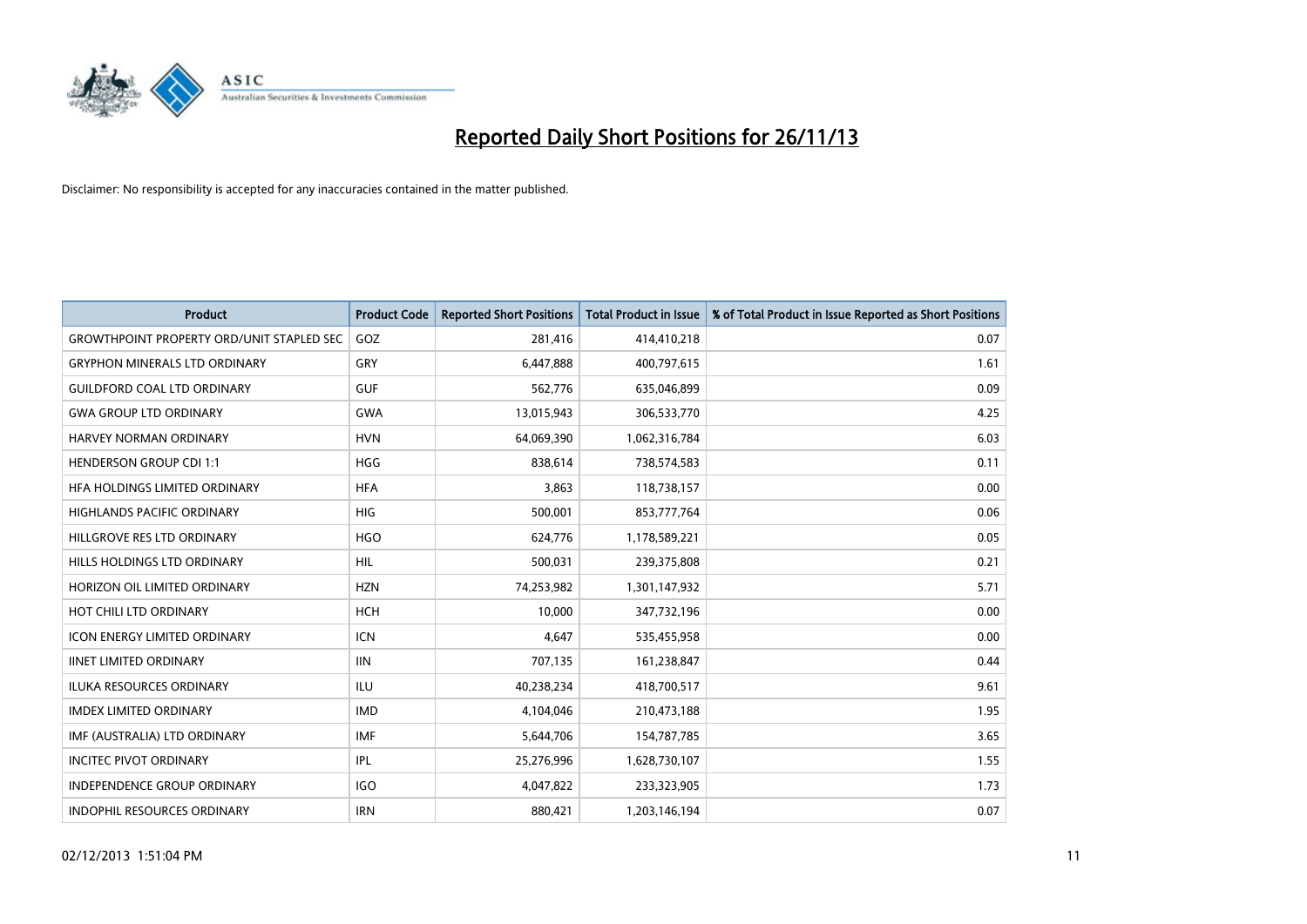

| <b>Product</b>                                   | <b>Product Code</b> | <b>Reported Short Positions</b> | <b>Total Product in Issue</b> | % of Total Product in Issue Reported as Short Positions |
|--------------------------------------------------|---------------------|---------------------------------|-------------------------------|---------------------------------------------------------|
| <b>GROWTHPOINT PROPERTY ORD/UNIT STAPLED SEC</b> | GOZ                 | 281,416                         | 414,410,218                   | 0.07                                                    |
| <b>GRYPHON MINERALS LTD ORDINARY</b>             | <b>GRY</b>          | 6,447,888                       | 400,797,615                   | 1.61                                                    |
| <b>GUILDFORD COAL LTD ORDINARY</b>               | <b>GUF</b>          | 562,776                         | 635,046,899                   | 0.09                                                    |
| <b>GWA GROUP LTD ORDINARY</b>                    | <b>GWA</b>          | 13,015,943                      | 306,533,770                   | 4.25                                                    |
| HARVEY NORMAN ORDINARY                           | <b>HVN</b>          | 64,069,390                      | 1,062,316,784                 | 6.03                                                    |
| <b>HENDERSON GROUP CDI 1:1</b>                   | <b>HGG</b>          | 838,614                         | 738,574,583                   | 0.11                                                    |
| HFA HOLDINGS LIMITED ORDINARY                    | <b>HFA</b>          | 3,863                           | 118,738,157                   | 0.00                                                    |
| HIGHLANDS PACIFIC ORDINARY                       | <b>HIG</b>          | 500,001                         | 853,777,764                   | 0.06                                                    |
| HILLGROVE RES LTD ORDINARY                       | <b>HGO</b>          | 624,776                         | 1,178,589,221                 | 0.05                                                    |
| HILLS HOLDINGS LTD ORDINARY                      | <b>HIL</b>          | 500,031                         | 239,375,808                   | 0.21                                                    |
| HORIZON OIL LIMITED ORDINARY                     | <b>HZN</b>          | 74,253,982                      | 1,301,147,932                 | 5.71                                                    |
| HOT CHILI LTD ORDINARY                           | <b>HCH</b>          | 10,000                          | 347,732,196                   | 0.00                                                    |
| <b>ICON ENERGY LIMITED ORDINARY</b>              | <b>ICN</b>          | 4,647                           | 535,455,958                   | 0.00                                                    |
| <b>IINET LIMITED ORDINARY</b>                    | <b>IIN</b>          | 707,135                         | 161,238,847                   | 0.44                                                    |
| <b>ILUKA RESOURCES ORDINARY</b>                  | <b>ILU</b>          | 40,238,234                      | 418,700,517                   | 9.61                                                    |
| <b>IMDEX LIMITED ORDINARY</b>                    | <b>IMD</b>          | 4,104,046                       | 210,473,188                   | 1.95                                                    |
| IMF (AUSTRALIA) LTD ORDINARY                     | <b>IMF</b>          | 5,644,706                       | 154,787,785                   | 3.65                                                    |
| <b>INCITEC PIVOT ORDINARY</b>                    | IPL                 | 25,276,996                      | 1,628,730,107                 | 1.55                                                    |
| INDEPENDENCE GROUP ORDINARY                      | <b>IGO</b>          | 4,047,822                       | 233,323,905                   | 1.73                                                    |
| <b>INDOPHIL RESOURCES ORDINARY</b>               | <b>IRN</b>          | 880,421                         | 1,203,146,194                 | 0.07                                                    |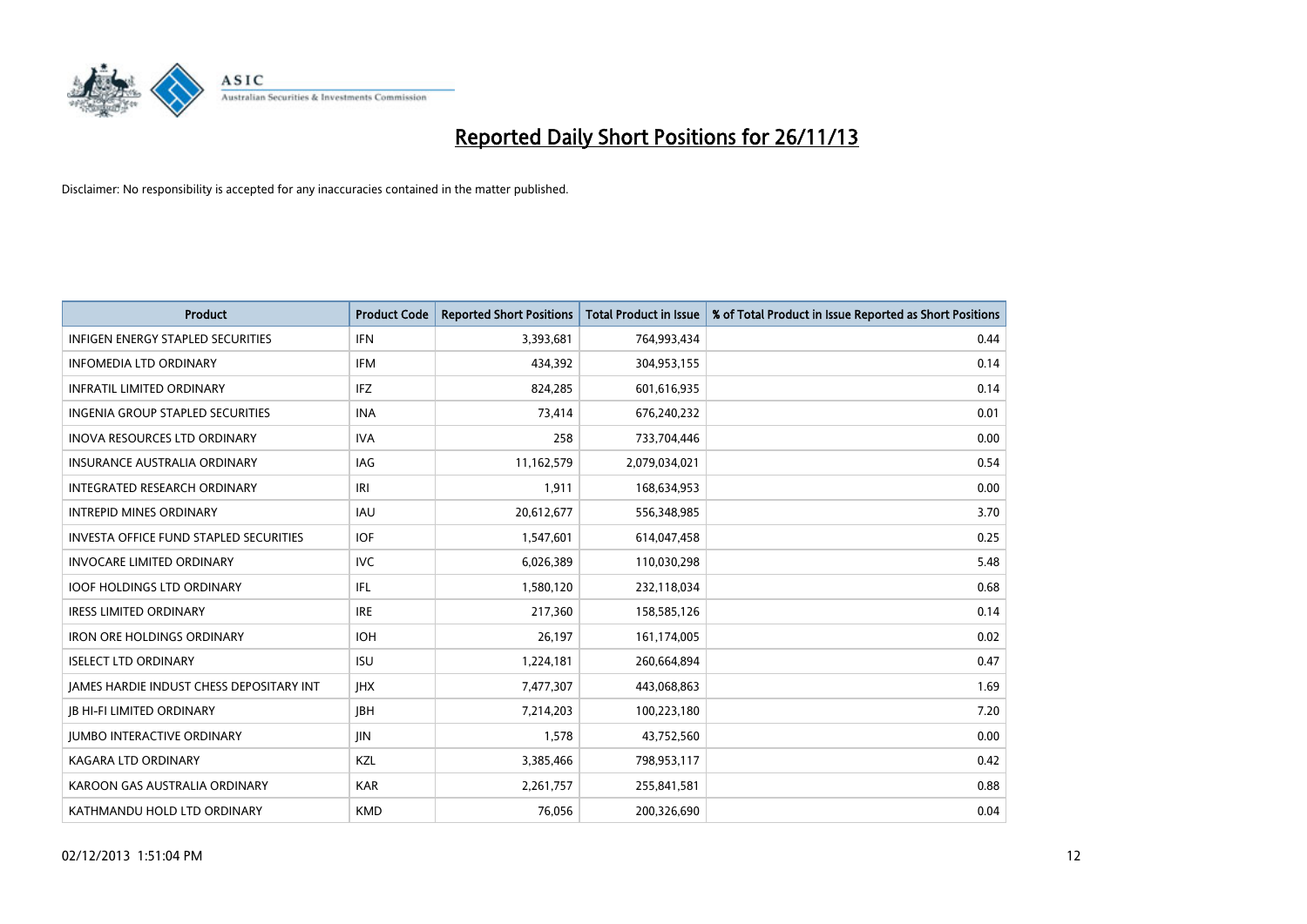

| <b>Product</b>                                  | <b>Product Code</b> | <b>Reported Short Positions</b> | <b>Total Product in Issue</b> | % of Total Product in Issue Reported as Short Positions |
|-------------------------------------------------|---------------------|---------------------------------|-------------------------------|---------------------------------------------------------|
| <b>INFIGEN ENERGY STAPLED SECURITIES</b>        | <b>IFN</b>          | 3,393,681                       | 764,993,434                   | 0.44                                                    |
| <b>INFOMEDIA LTD ORDINARY</b>                   | <b>IFM</b>          | 434,392                         | 304,953,155                   | 0.14                                                    |
| <b>INFRATIL LIMITED ORDINARY</b>                | <b>IFZ</b>          | 824,285                         | 601,616,935                   | 0.14                                                    |
| INGENIA GROUP STAPLED SECURITIES                | <b>INA</b>          | 73,414                          | 676,240,232                   | 0.01                                                    |
| <b>INOVA RESOURCES LTD ORDINARY</b>             | <b>IVA</b>          | 258                             | 733,704,446                   | 0.00                                                    |
| <b>INSURANCE AUSTRALIA ORDINARY</b>             | IAG                 | 11,162,579                      | 2,079,034,021                 | 0.54                                                    |
| <b>INTEGRATED RESEARCH ORDINARY</b>             | IRI                 | 1,911                           | 168,634,953                   | 0.00                                                    |
| <b>INTREPID MINES ORDINARY</b>                  | <b>IAU</b>          | 20,612,677                      | 556,348,985                   | 3.70                                                    |
| <b>INVESTA OFFICE FUND STAPLED SECURITIES</b>   | <b>IOF</b>          | 1,547,601                       | 614,047,458                   | 0.25                                                    |
| <b>INVOCARE LIMITED ORDINARY</b>                | <b>IVC</b>          | 6,026,389                       | 110,030,298                   | 5.48                                                    |
| <b>IOOF HOLDINGS LTD ORDINARY</b>               | IFL                 | 1,580,120                       | 232,118,034                   | 0.68                                                    |
| <b>IRESS LIMITED ORDINARY</b>                   | <b>IRE</b>          | 217,360                         | 158,585,126                   | 0.14                                                    |
| <b>IRON ORE HOLDINGS ORDINARY</b>               | <b>IOH</b>          | 26,197                          | 161,174,005                   | 0.02                                                    |
| <b>ISELECT LTD ORDINARY</b>                     | <b>ISU</b>          | 1,224,181                       | 260,664,894                   | 0.47                                                    |
| <b>IAMES HARDIE INDUST CHESS DEPOSITARY INT</b> | <b>IHX</b>          | 7,477,307                       | 443,068,863                   | 1.69                                                    |
| <b>JB HI-FI LIMITED ORDINARY</b>                | <b>JBH</b>          | 7,214,203                       | 100,223,180                   | 7.20                                                    |
| <b>JUMBO INTERACTIVE ORDINARY</b>               | JIN                 | 1,578                           | 43,752,560                    | 0.00                                                    |
| <b>KAGARA LTD ORDINARY</b>                      | KZL                 | 3,385,466                       | 798,953,117                   | 0.42                                                    |
| KAROON GAS AUSTRALIA ORDINARY                   | <b>KAR</b>          | 2,261,757                       | 255,841,581                   | 0.88                                                    |
| KATHMANDU HOLD LTD ORDINARY                     | <b>KMD</b>          | 76,056                          | 200,326,690                   | 0.04                                                    |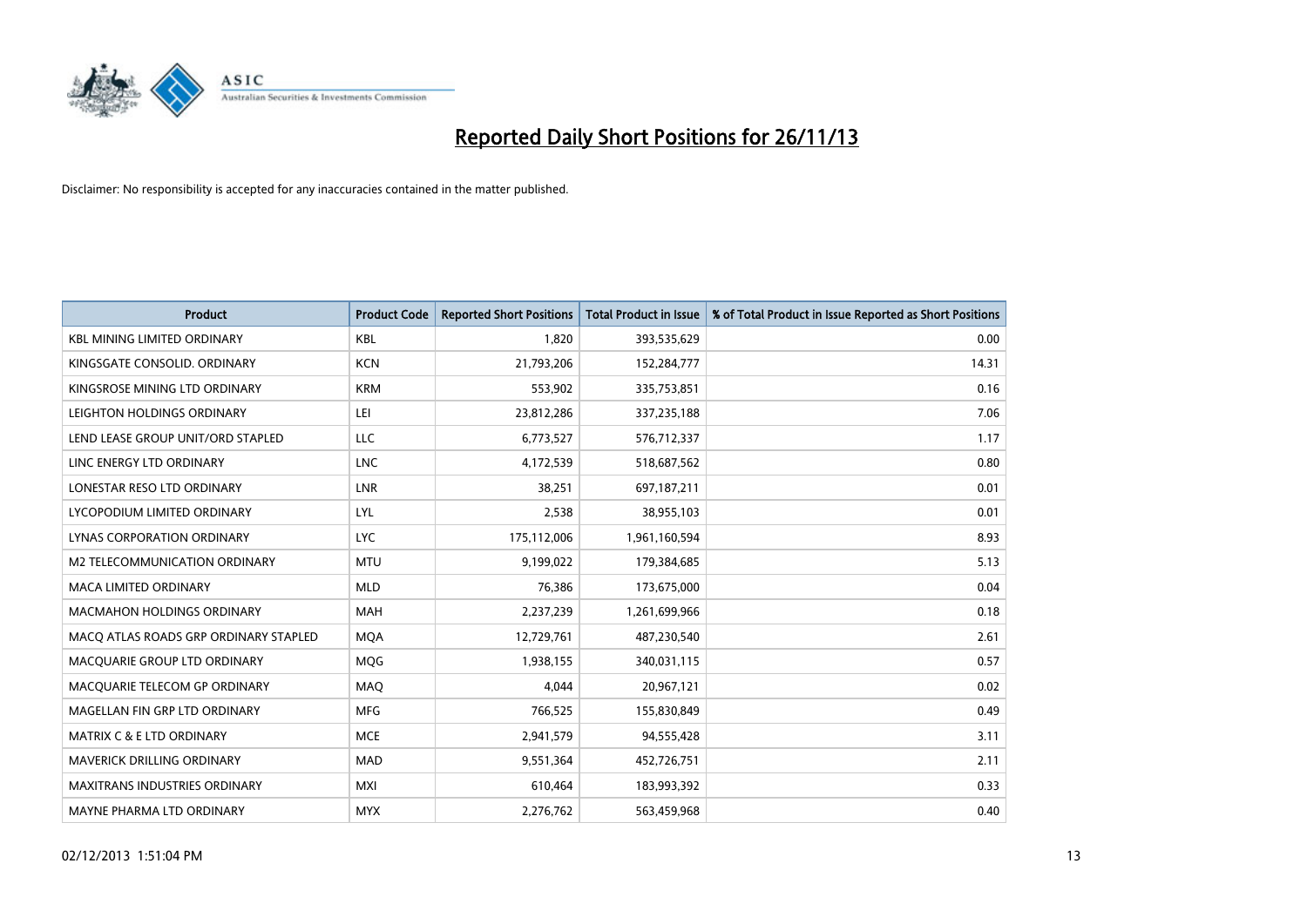

| <b>Product</b>                        | <b>Product Code</b> | <b>Reported Short Positions</b> | <b>Total Product in Issue</b> | % of Total Product in Issue Reported as Short Positions |
|---------------------------------------|---------------------|---------------------------------|-------------------------------|---------------------------------------------------------|
| <b>KBL MINING LIMITED ORDINARY</b>    | <b>KBL</b>          | 1,820                           | 393,535,629                   | 0.00                                                    |
| KINGSGATE CONSOLID. ORDINARY          | <b>KCN</b>          | 21,793,206                      | 152,284,777                   | 14.31                                                   |
| KINGSROSE MINING LTD ORDINARY         | <b>KRM</b>          | 553,902                         | 335,753,851                   | 0.16                                                    |
| LEIGHTON HOLDINGS ORDINARY            | LEI                 | 23,812,286                      | 337,235,188                   | 7.06                                                    |
| LEND LEASE GROUP UNIT/ORD STAPLED     | <b>LLC</b>          | 6,773,527                       | 576,712,337                   | 1.17                                                    |
| LINC ENERGY LTD ORDINARY              | <b>LNC</b>          | 4,172,539                       | 518,687,562                   | 0.80                                                    |
| LONESTAR RESO LTD ORDINARY            | <b>LNR</b>          | 38,251                          | 697,187,211                   | 0.01                                                    |
| LYCOPODIUM LIMITED ORDINARY           | <b>LYL</b>          | 2,538                           | 38,955,103                    | 0.01                                                    |
| LYNAS CORPORATION ORDINARY            | <b>LYC</b>          | 175,112,006                     | 1,961,160,594                 | 8.93                                                    |
| M2 TELECOMMUNICATION ORDINARY         | <b>MTU</b>          | 9,199,022                       | 179,384,685                   | 5.13                                                    |
| <b>MACA LIMITED ORDINARY</b>          | <b>MLD</b>          | 76,386                          | 173,675,000                   | 0.04                                                    |
| <b>MACMAHON HOLDINGS ORDINARY</b>     | <b>MAH</b>          | 2,237,239                       | 1,261,699,966                 | 0.18                                                    |
| MACO ATLAS ROADS GRP ORDINARY STAPLED | <b>MQA</b>          | 12,729,761                      | 487,230,540                   | 2.61                                                    |
| MACQUARIE GROUP LTD ORDINARY          | MQG                 | 1,938,155                       | 340,031,115                   | 0.57                                                    |
| MACQUARIE TELECOM GP ORDINARY         | <b>MAQ</b>          | 4,044                           | 20,967,121                    | 0.02                                                    |
| MAGELLAN FIN GRP LTD ORDINARY         | <b>MFG</b>          | 766,525                         | 155,830,849                   | 0.49                                                    |
| <b>MATRIX C &amp; E LTD ORDINARY</b>  | <b>MCE</b>          | 2,941,579                       | 94,555,428                    | 3.11                                                    |
| <b>MAVERICK DRILLING ORDINARY</b>     | <b>MAD</b>          | 9,551,364                       | 452,726,751                   | 2.11                                                    |
| <b>MAXITRANS INDUSTRIES ORDINARY</b>  | <b>MXI</b>          | 610,464                         | 183,993,392                   | 0.33                                                    |
| MAYNE PHARMA LTD ORDINARY             | <b>MYX</b>          | 2,276,762                       | 563,459,968                   | 0.40                                                    |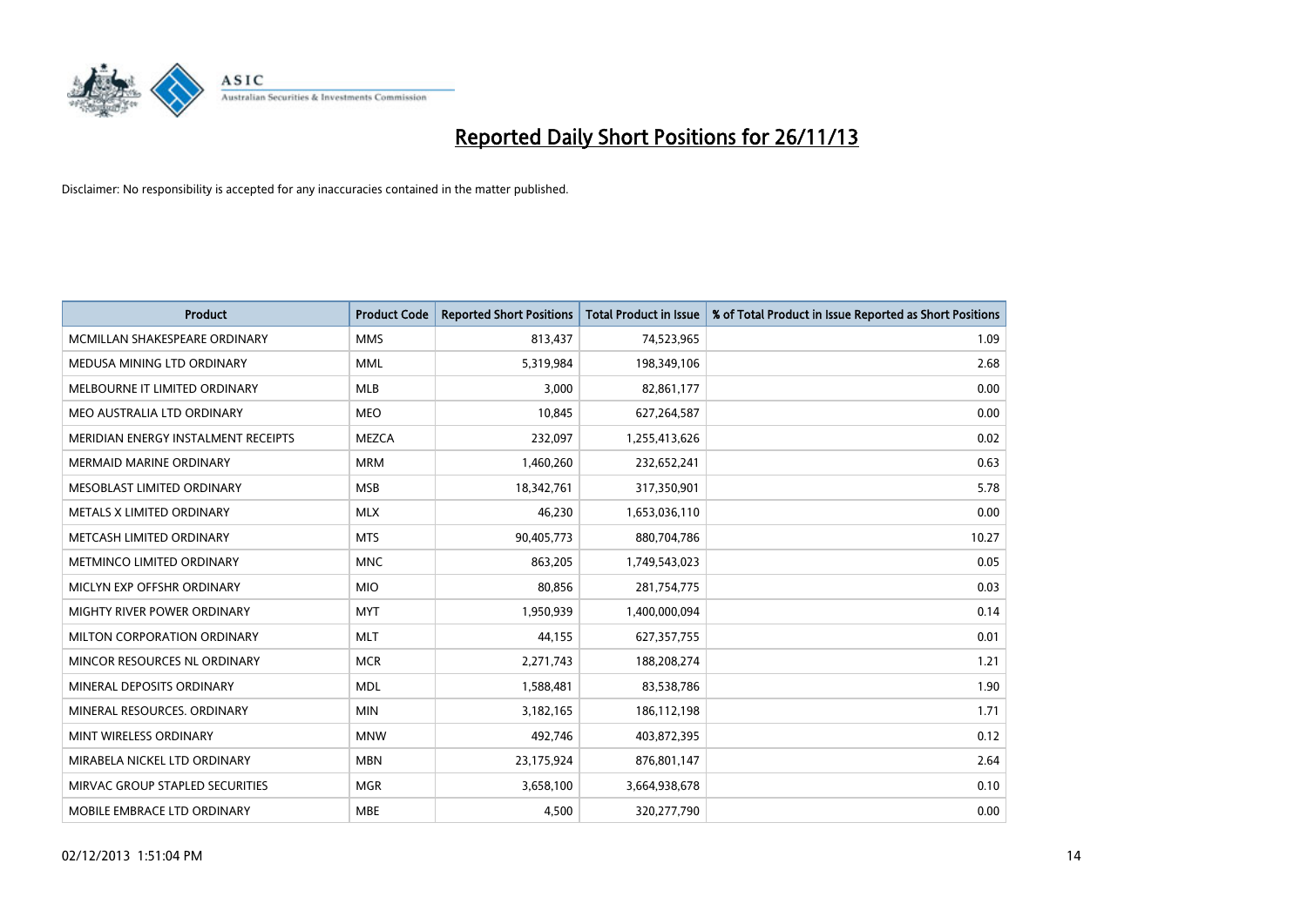

| <b>Product</b>                      | <b>Product Code</b> | <b>Reported Short Positions</b> | <b>Total Product in Issue</b> | % of Total Product in Issue Reported as Short Positions |
|-------------------------------------|---------------------|---------------------------------|-------------------------------|---------------------------------------------------------|
| MCMILLAN SHAKESPEARE ORDINARY       | <b>MMS</b>          | 813,437                         | 74,523,965                    | 1.09                                                    |
| MEDUSA MINING LTD ORDINARY          | <b>MML</b>          | 5,319,984                       | 198,349,106                   | 2.68                                                    |
| MELBOURNE IT LIMITED ORDINARY       | <b>MLB</b>          | 3,000                           | 82,861,177                    | 0.00                                                    |
| MEO AUSTRALIA LTD ORDINARY          | <b>MEO</b>          | 10,845                          | 627,264,587                   | 0.00                                                    |
| MERIDIAN ENERGY INSTALMENT RECEIPTS | <b>MEZCA</b>        | 232,097                         | 1,255,413,626                 | 0.02                                                    |
| <b>MERMAID MARINE ORDINARY</b>      | <b>MRM</b>          | 1,460,260                       | 232,652,241                   | 0.63                                                    |
| MESOBLAST LIMITED ORDINARY          | <b>MSB</b>          | 18,342,761                      | 317,350,901                   | 5.78                                                    |
| METALS X LIMITED ORDINARY           | <b>MLX</b>          | 46,230                          | 1,653,036,110                 | 0.00                                                    |
| METCASH LIMITED ORDINARY            | <b>MTS</b>          | 90,405,773                      | 880,704,786                   | 10.27                                                   |
| METMINCO LIMITED ORDINARY           | <b>MNC</b>          | 863,205                         | 1,749,543,023                 | 0.05                                                    |
| MICLYN EXP OFFSHR ORDINARY          | <b>MIO</b>          | 80,856                          | 281,754,775                   | 0.03                                                    |
| MIGHTY RIVER POWER ORDINARY         | <b>MYT</b>          | 1,950,939                       | 1,400,000,094                 | 0.14                                                    |
| MILTON CORPORATION ORDINARY         | <b>MLT</b>          | 44,155                          | 627,357,755                   | 0.01                                                    |
| MINCOR RESOURCES NL ORDINARY        | <b>MCR</b>          | 2,271,743                       | 188,208,274                   | 1.21                                                    |
| MINERAL DEPOSITS ORDINARY           | <b>MDL</b>          | 1,588,481                       | 83,538,786                    | 1.90                                                    |
| MINERAL RESOURCES, ORDINARY         | <b>MIN</b>          | 3,182,165                       | 186,112,198                   | 1.71                                                    |
| MINT WIRELESS ORDINARY              | <b>MNW</b>          | 492,746                         | 403,872,395                   | 0.12                                                    |
| MIRABELA NICKEL LTD ORDINARY        | <b>MBN</b>          | 23,175,924                      | 876,801,147                   | 2.64                                                    |
| MIRVAC GROUP STAPLED SECURITIES     | <b>MGR</b>          | 3,658,100                       | 3,664,938,678                 | 0.10                                                    |
| MOBILE EMBRACE LTD ORDINARY         | <b>MBE</b>          | 4,500                           | 320,277,790                   | 0.00                                                    |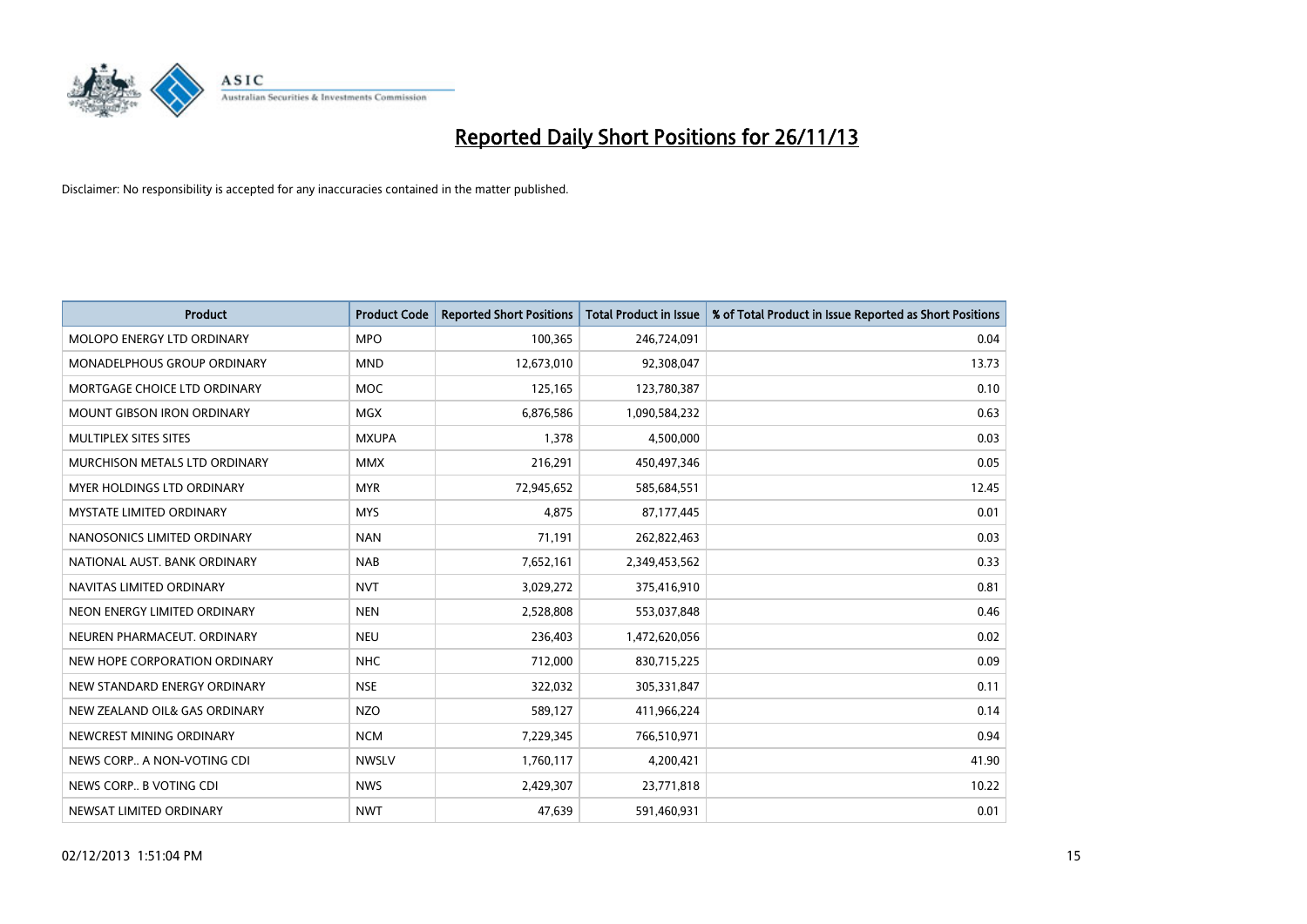

| <b>Product</b>                    | <b>Product Code</b> | <b>Reported Short Positions</b> | <b>Total Product in Issue</b> | % of Total Product in Issue Reported as Short Positions |
|-----------------------------------|---------------------|---------------------------------|-------------------------------|---------------------------------------------------------|
| MOLOPO ENERGY LTD ORDINARY        | <b>MPO</b>          | 100,365                         | 246,724,091                   | 0.04                                                    |
| MONADELPHOUS GROUP ORDINARY       | <b>MND</b>          | 12,673,010                      | 92,308,047                    | 13.73                                                   |
| MORTGAGE CHOICE LTD ORDINARY      | <b>MOC</b>          | 125,165                         | 123,780,387                   | 0.10                                                    |
| MOUNT GIBSON IRON ORDINARY        | MGX                 | 6,876,586                       | 1,090,584,232                 | 0.63                                                    |
| MULTIPLEX SITES SITES             | <b>MXUPA</b>        | 1,378                           | 4,500,000                     | 0.03                                                    |
| MURCHISON METALS LTD ORDINARY     | <b>MMX</b>          | 216,291                         | 450,497,346                   | 0.05                                                    |
| <b>MYER HOLDINGS LTD ORDINARY</b> | <b>MYR</b>          | 72,945,652                      | 585,684,551                   | 12.45                                                   |
| MYSTATE LIMITED ORDINARY          | <b>MYS</b>          | 4,875                           | 87,177,445                    | 0.01                                                    |
| NANOSONICS LIMITED ORDINARY       | <b>NAN</b>          | 71,191                          | 262,822,463                   | 0.03                                                    |
| NATIONAL AUST, BANK ORDINARY      | <b>NAB</b>          | 7,652,161                       | 2,349,453,562                 | 0.33                                                    |
| NAVITAS LIMITED ORDINARY          | <b>NVT</b>          | 3,029,272                       | 375,416,910                   | 0.81                                                    |
| NEON ENERGY LIMITED ORDINARY      | <b>NEN</b>          | 2,528,808                       | 553,037,848                   | 0.46                                                    |
| NEUREN PHARMACEUT. ORDINARY       | <b>NEU</b>          | 236,403                         | 1,472,620,056                 | 0.02                                                    |
| NEW HOPE CORPORATION ORDINARY     | <b>NHC</b>          | 712,000                         | 830,715,225                   | 0.09                                                    |
| NEW STANDARD ENERGY ORDINARY      | <b>NSE</b>          | 322,032                         | 305,331,847                   | 0.11                                                    |
| NEW ZEALAND OIL& GAS ORDINARY     | <b>NZO</b>          | 589,127                         | 411,966,224                   | 0.14                                                    |
| NEWCREST MINING ORDINARY          | <b>NCM</b>          | 7,229,345                       | 766,510,971                   | 0.94                                                    |
| NEWS CORP A NON-VOTING CDI        | <b>NWSLV</b>        | 1,760,117                       | 4,200,421                     | 41.90                                                   |
| NEWS CORP B VOTING CDI            | <b>NWS</b>          | 2,429,307                       | 23,771,818                    | 10.22                                                   |
| NEWSAT LIMITED ORDINARY           | <b>NWT</b>          | 47,639                          | 591,460,931                   | 0.01                                                    |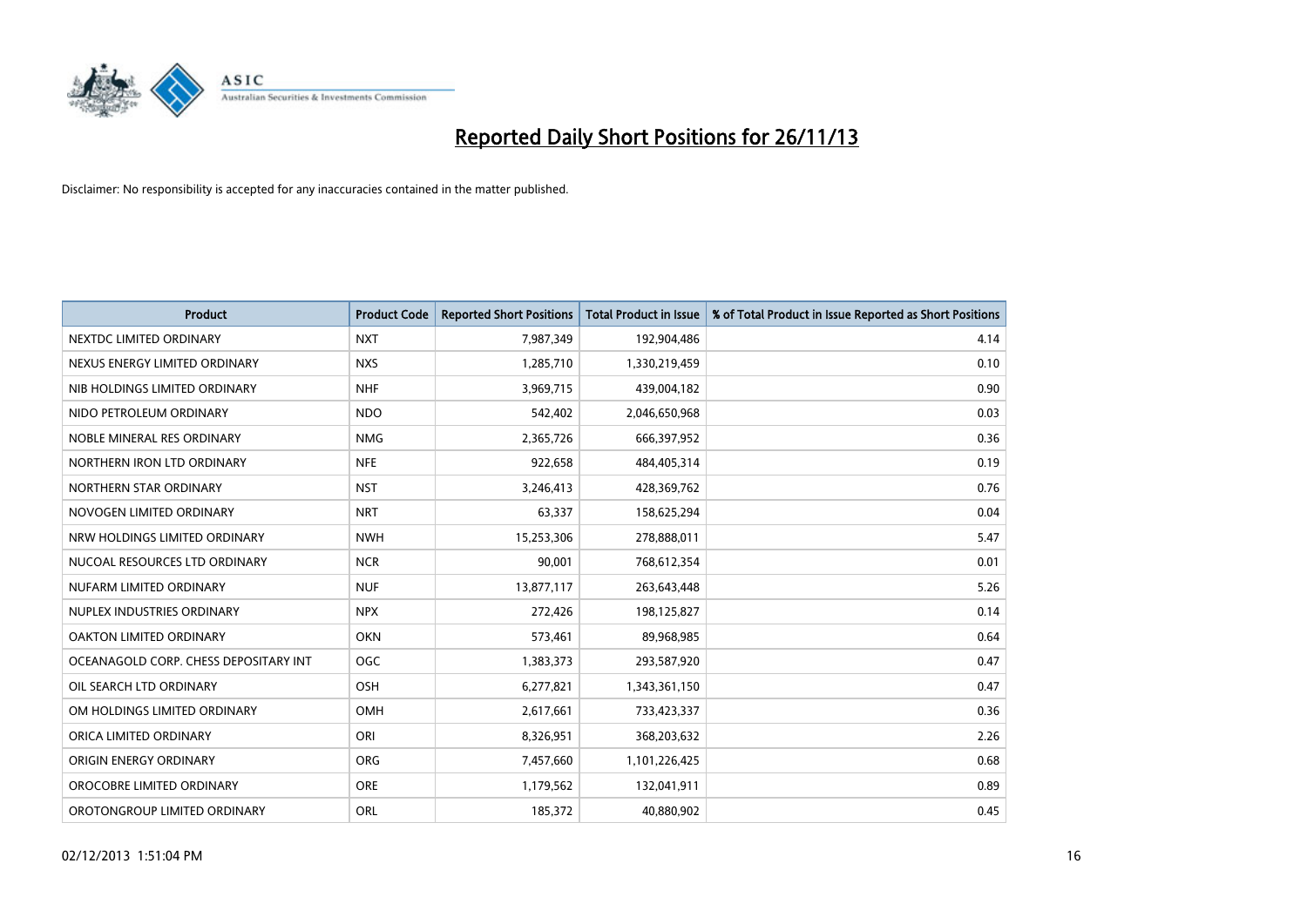

| <b>Product</b>                        | <b>Product Code</b> | <b>Reported Short Positions</b> | <b>Total Product in Issue</b> | % of Total Product in Issue Reported as Short Positions |
|---------------------------------------|---------------------|---------------------------------|-------------------------------|---------------------------------------------------------|
| NEXTDC LIMITED ORDINARY               | <b>NXT</b>          | 7,987,349                       | 192,904,486                   | 4.14                                                    |
| NEXUS ENERGY LIMITED ORDINARY         | <b>NXS</b>          | 1,285,710                       | 1,330,219,459                 | 0.10                                                    |
| NIB HOLDINGS LIMITED ORDINARY         | <b>NHF</b>          | 3,969,715                       | 439,004,182                   | 0.90                                                    |
| NIDO PETROLEUM ORDINARY               | <b>NDO</b>          | 542,402                         | 2,046,650,968                 | 0.03                                                    |
| NOBLE MINERAL RES ORDINARY            | <b>NMG</b>          | 2,365,726                       | 666,397,952                   | 0.36                                                    |
| NORTHERN IRON LTD ORDINARY            | <b>NFE</b>          | 922,658                         | 484,405,314                   | 0.19                                                    |
| NORTHERN STAR ORDINARY                | <b>NST</b>          | 3,246,413                       | 428,369,762                   | 0.76                                                    |
| NOVOGEN LIMITED ORDINARY              | <b>NRT</b>          | 63,337                          | 158,625,294                   | 0.04                                                    |
| NRW HOLDINGS LIMITED ORDINARY         | <b>NWH</b>          | 15,253,306                      | 278,888,011                   | 5.47                                                    |
| NUCOAL RESOURCES LTD ORDINARY         | <b>NCR</b>          | 90,001                          | 768,612,354                   | 0.01                                                    |
| NUFARM LIMITED ORDINARY               | <b>NUF</b>          | 13,877,117                      | 263,643,448                   | 5.26                                                    |
| NUPLEX INDUSTRIES ORDINARY            | <b>NPX</b>          | 272,426                         | 198,125,827                   | 0.14                                                    |
| OAKTON LIMITED ORDINARY               | <b>OKN</b>          | 573,461                         | 89,968,985                    | 0.64                                                    |
| OCEANAGOLD CORP. CHESS DEPOSITARY INT | <b>OGC</b>          | 1,383,373                       | 293,587,920                   | 0.47                                                    |
| OIL SEARCH LTD ORDINARY               | OSH                 | 6,277,821                       | 1,343,361,150                 | 0.47                                                    |
| OM HOLDINGS LIMITED ORDINARY          | OMH                 | 2,617,661                       | 733,423,337                   | 0.36                                                    |
| ORICA LIMITED ORDINARY                | ORI                 | 8,326,951                       | 368,203,632                   | 2.26                                                    |
| ORIGIN ENERGY ORDINARY                | <b>ORG</b>          | 7,457,660                       | 1,101,226,425                 | 0.68                                                    |
| OROCOBRE LIMITED ORDINARY             | <b>ORE</b>          | 1,179,562                       | 132,041,911                   | 0.89                                                    |
| OROTONGROUP LIMITED ORDINARY          | ORL                 | 185,372                         | 40,880,902                    | 0.45                                                    |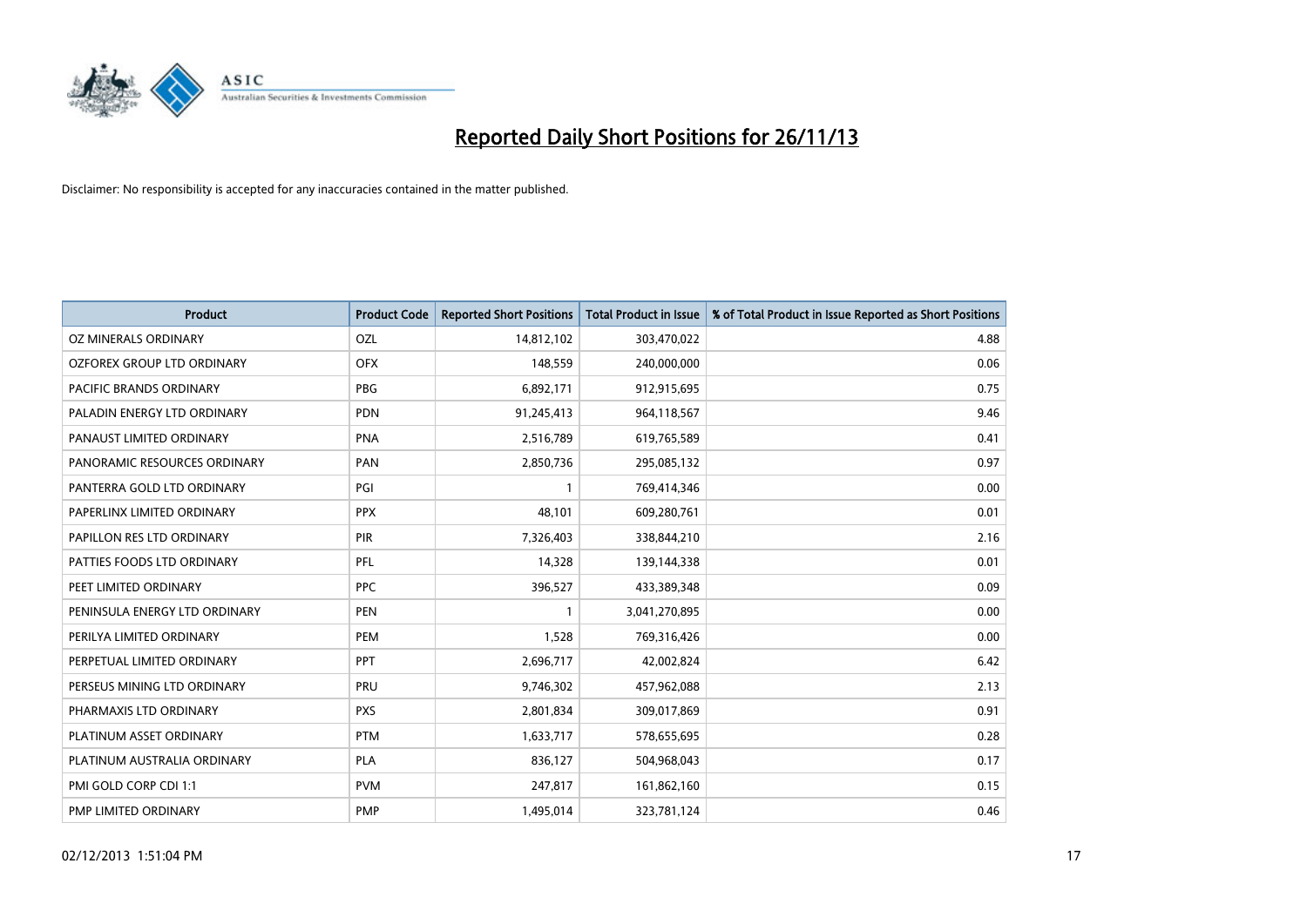

| <b>Product</b>                | <b>Product Code</b> | <b>Reported Short Positions</b> | <b>Total Product in Issue</b> | % of Total Product in Issue Reported as Short Positions |
|-------------------------------|---------------------|---------------------------------|-------------------------------|---------------------------------------------------------|
| <b>OZ MINERALS ORDINARY</b>   | OZL                 | 14,812,102                      | 303,470,022                   | 4.88                                                    |
| OZFOREX GROUP LTD ORDINARY    | <b>OFX</b>          | 148,559                         | 240,000,000                   | 0.06                                                    |
| PACIFIC BRANDS ORDINARY       | <b>PBG</b>          | 6,892,171                       | 912,915,695                   | 0.75                                                    |
| PALADIN ENERGY LTD ORDINARY   | <b>PDN</b>          | 91,245,413                      | 964,118,567                   | 9.46                                                    |
| PANAUST LIMITED ORDINARY      | <b>PNA</b>          | 2,516,789                       | 619,765,589                   | 0.41                                                    |
| PANORAMIC RESOURCES ORDINARY  | PAN                 | 2,850,736                       | 295,085,132                   | 0.97                                                    |
| PANTERRA GOLD LTD ORDINARY    | PGI                 | $\mathbf{1}$                    | 769,414,346                   | 0.00                                                    |
| PAPERLINX LIMITED ORDINARY    | <b>PPX</b>          | 48.101                          | 609,280,761                   | 0.01                                                    |
| PAPILLON RES LTD ORDINARY     | PIR                 | 7,326,403                       | 338,844,210                   | 2.16                                                    |
| PATTIES FOODS LTD ORDINARY    | <b>PFL</b>          | 14,328                          | 139,144,338                   | 0.01                                                    |
| PEET LIMITED ORDINARY         | <b>PPC</b>          | 396,527                         | 433,389,348                   | 0.09                                                    |
| PENINSULA ENERGY LTD ORDINARY | <b>PEN</b>          | 1                               | 3,041,270,895                 | 0.00                                                    |
| PERILYA LIMITED ORDINARY      | <b>PEM</b>          | 1,528                           | 769,316,426                   | 0.00                                                    |
| PERPETUAL LIMITED ORDINARY    | <b>PPT</b>          | 2,696,717                       | 42,002,824                    | 6.42                                                    |
| PERSEUS MINING LTD ORDINARY   | PRU                 | 9,746,302                       | 457,962,088                   | 2.13                                                    |
| PHARMAXIS LTD ORDINARY        | <b>PXS</b>          | 2,801,834                       | 309,017,869                   | 0.91                                                    |
| PLATINUM ASSET ORDINARY       | <b>PTM</b>          | 1,633,717                       | 578,655,695                   | 0.28                                                    |
| PLATINUM AUSTRALIA ORDINARY   | <b>PLA</b>          | 836,127                         | 504,968,043                   | 0.17                                                    |
| PMI GOLD CORP CDI 1:1         | <b>PVM</b>          | 247,817                         | 161,862,160                   | 0.15                                                    |
| PMP LIMITED ORDINARY          | <b>PMP</b>          | 1,495,014                       | 323,781,124                   | 0.46                                                    |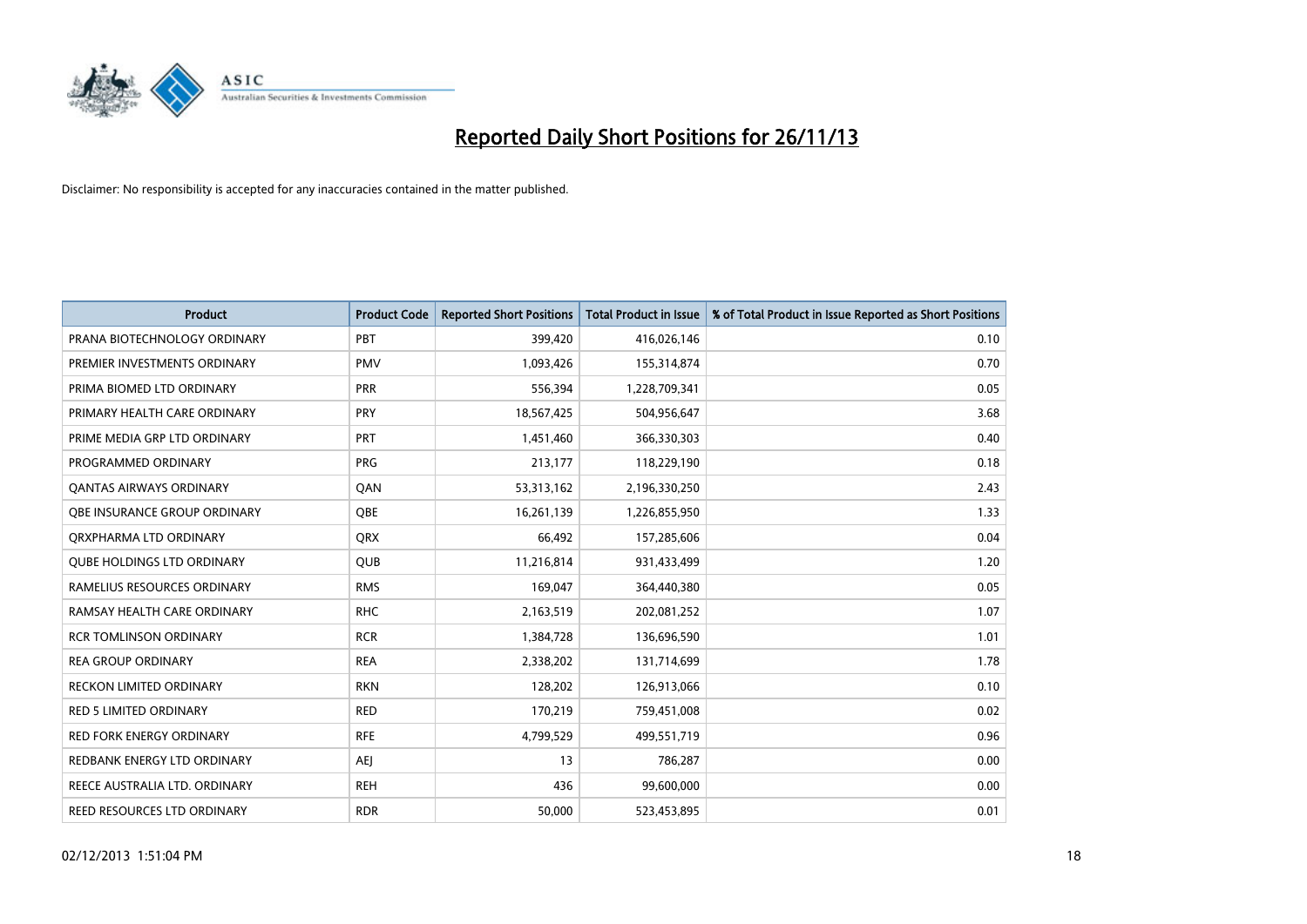

| <b>Product</b>                      | <b>Product Code</b> | <b>Reported Short Positions</b> | <b>Total Product in Issue</b> | % of Total Product in Issue Reported as Short Positions |
|-------------------------------------|---------------------|---------------------------------|-------------------------------|---------------------------------------------------------|
| PRANA BIOTECHNOLOGY ORDINARY        | PBT                 | 399,420                         | 416,026,146                   | 0.10                                                    |
| PREMIER INVESTMENTS ORDINARY        | <b>PMV</b>          | 1,093,426                       | 155,314,874                   | 0.70                                                    |
| PRIMA BIOMED LTD ORDINARY           | <b>PRR</b>          | 556,394                         | 1,228,709,341                 | 0.05                                                    |
| PRIMARY HEALTH CARE ORDINARY        | <b>PRY</b>          | 18,567,425                      | 504,956,647                   | 3.68                                                    |
| PRIME MEDIA GRP LTD ORDINARY        | <b>PRT</b>          | 1,451,460                       | 366,330,303                   | 0.40                                                    |
| PROGRAMMED ORDINARY                 | <b>PRG</b>          | 213,177                         | 118,229,190                   | 0.18                                                    |
| <b>QANTAS AIRWAYS ORDINARY</b>      | QAN                 | 53,313,162                      | 2,196,330,250                 | 2.43                                                    |
| <b>OBE INSURANCE GROUP ORDINARY</b> | <b>OBE</b>          | 16,261,139                      | 1,226,855,950                 | 1.33                                                    |
| ORXPHARMA LTD ORDINARY              | <b>QRX</b>          | 66,492                          | 157,285,606                   | 0.04                                                    |
| <b>QUBE HOLDINGS LTD ORDINARY</b>   | <b>QUB</b>          | 11,216,814                      | 931,433,499                   | 1.20                                                    |
| RAMELIUS RESOURCES ORDINARY         | <b>RMS</b>          | 169,047                         | 364,440,380                   | 0.05                                                    |
| RAMSAY HEALTH CARE ORDINARY         | <b>RHC</b>          | 2,163,519                       | 202,081,252                   | 1.07                                                    |
| <b>RCR TOMLINSON ORDINARY</b>       | <b>RCR</b>          | 1,384,728                       | 136,696,590                   | 1.01                                                    |
| <b>REA GROUP ORDINARY</b>           | <b>REA</b>          | 2,338,202                       | 131,714,699                   | 1.78                                                    |
| <b>RECKON LIMITED ORDINARY</b>      | <b>RKN</b>          | 128,202                         | 126,913,066                   | 0.10                                                    |
| RED 5 LIMITED ORDINARY              | <b>RED</b>          | 170,219                         | 759,451,008                   | 0.02                                                    |
| RED FORK ENERGY ORDINARY            | <b>RFE</b>          | 4,799,529                       | 499,551,719                   | 0.96                                                    |
| REDBANK ENERGY LTD ORDINARY         | AEJ                 | 13                              | 786,287                       | 0.00                                                    |
| REECE AUSTRALIA LTD. ORDINARY       | <b>REH</b>          | 436                             | 99,600,000                    | 0.00                                                    |
| REED RESOURCES LTD ORDINARY         | <b>RDR</b>          | 50,000                          | 523,453,895                   | 0.01                                                    |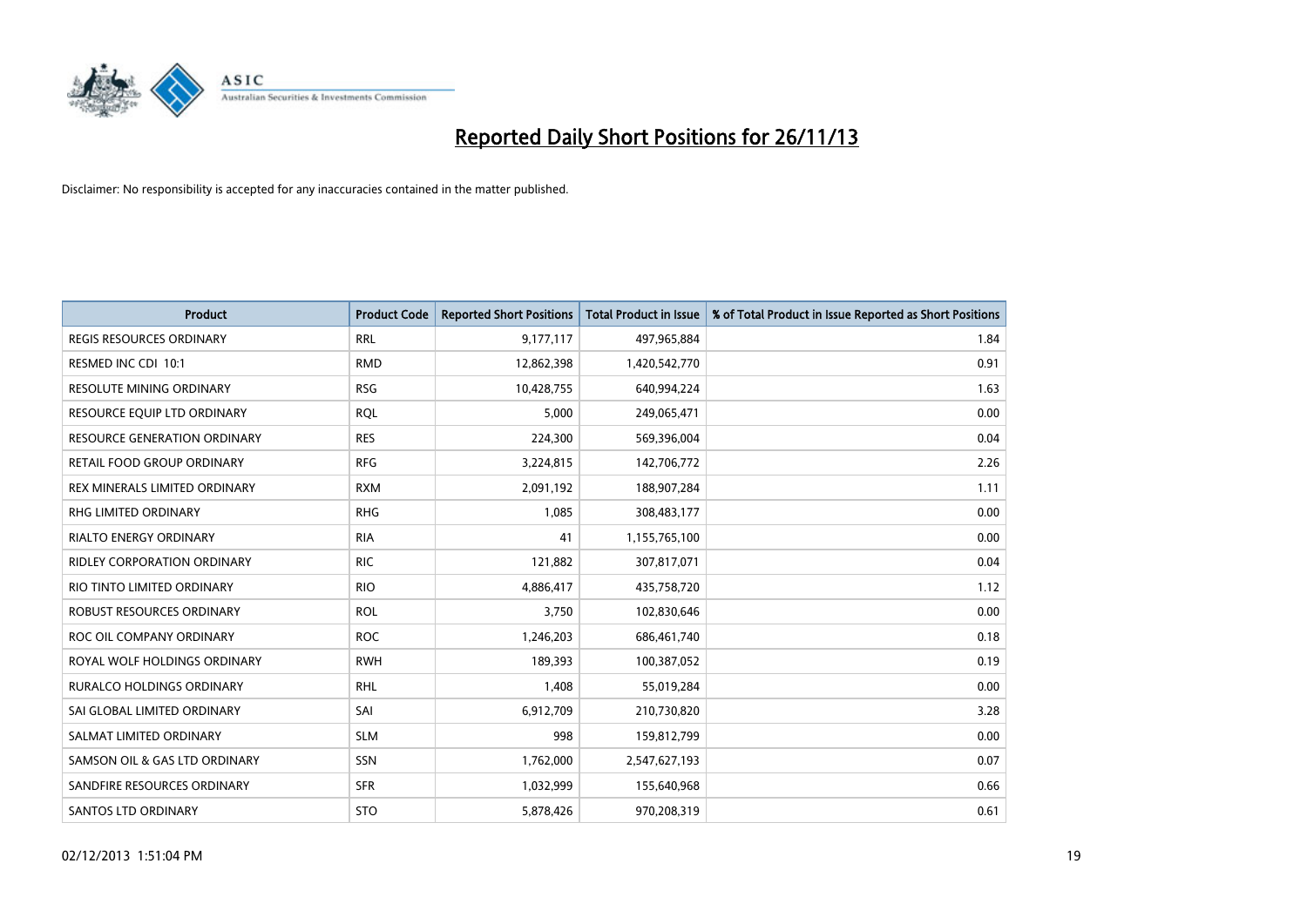

| <b>Product</b>                      | <b>Product Code</b> | <b>Reported Short Positions</b> | <b>Total Product in Issue</b> | % of Total Product in Issue Reported as Short Positions |
|-------------------------------------|---------------------|---------------------------------|-------------------------------|---------------------------------------------------------|
| <b>REGIS RESOURCES ORDINARY</b>     | <b>RRL</b>          | 9,177,117                       | 497,965,884                   | 1.84                                                    |
| RESMED INC CDI 10:1                 | <b>RMD</b>          | 12,862,398                      | 1,420,542,770                 | 0.91                                                    |
| <b>RESOLUTE MINING ORDINARY</b>     | <b>RSG</b>          | 10,428,755                      | 640,994,224                   | 1.63                                                    |
| RESOURCE EQUIP LTD ORDINARY         | <b>RQL</b>          | 5,000                           | 249,065,471                   | 0.00                                                    |
| <b>RESOURCE GENERATION ORDINARY</b> | <b>RES</b>          | 224,300                         | 569,396,004                   | 0.04                                                    |
| <b>RETAIL FOOD GROUP ORDINARY</b>   | <b>RFG</b>          | 3,224,815                       | 142,706,772                   | 2.26                                                    |
| REX MINERALS LIMITED ORDINARY       | <b>RXM</b>          | 2,091,192                       | 188,907,284                   | 1.11                                                    |
| RHG LIMITED ORDINARY                | <b>RHG</b>          | 1,085                           | 308,483,177                   | 0.00                                                    |
| <b>RIALTO ENERGY ORDINARY</b>       | <b>RIA</b>          | 41                              | 1,155,765,100                 | 0.00                                                    |
| <b>RIDLEY CORPORATION ORDINARY</b>  | <b>RIC</b>          | 121,882                         | 307,817,071                   | 0.04                                                    |
| RIO TINTO LIMITED ORDINARY          | <b>RIO</b>          | 4,886,417                       | 435,758,720                   | 1.12                                                    |
| ROBUST RESOURCES ORDINARY           | <b>ROL</b>          | 3,750                           | 102,830,646                   | 0.00                                                    |
| ROC OIL COMPANY ORDINARY            | <b>ROC</b>          | 1,246,203                       | 686,461,740                   | 0.18                                                    |
| ROYAL WOLF HOLDINGS ORDINARY        | <b>RWH</b>          | 189,393                         | 100,387,052                   | 0.19                                                    |
| <b>RURALCO HOLDINGS ORDINARY</b>    | <b>RHL</b>          | 1,408                           | 55,019,284                    | 0.00                                                    |
| SAI GLOBAL LIMITED ORDINARY         | SAI                 | 6,912,709                       | 210,730,820                   | 3.28                                                    |
| SALMAT LIMITED ORDINARY             | <b>SLM</b>          | 998                             | 159,812,799                   | 0.00                                                    |
| SAMSON OIL & GAS LTD ORDINARY       | <b>SSN</b>          | 1,762,000                       | 2,547,627,193                 | 0.07                                                    |
| SANDFIRE RESOURCES ORDINARY         | <b>SFR</b>          | 1,032,999                       | 155,640,968                   | 0.66                                                    |
| <b>SANTOS LTD ORDINARY</b>          | <b>STO</b>          | 5,878,426                       | 970,208,319                   | 0.61                                                    |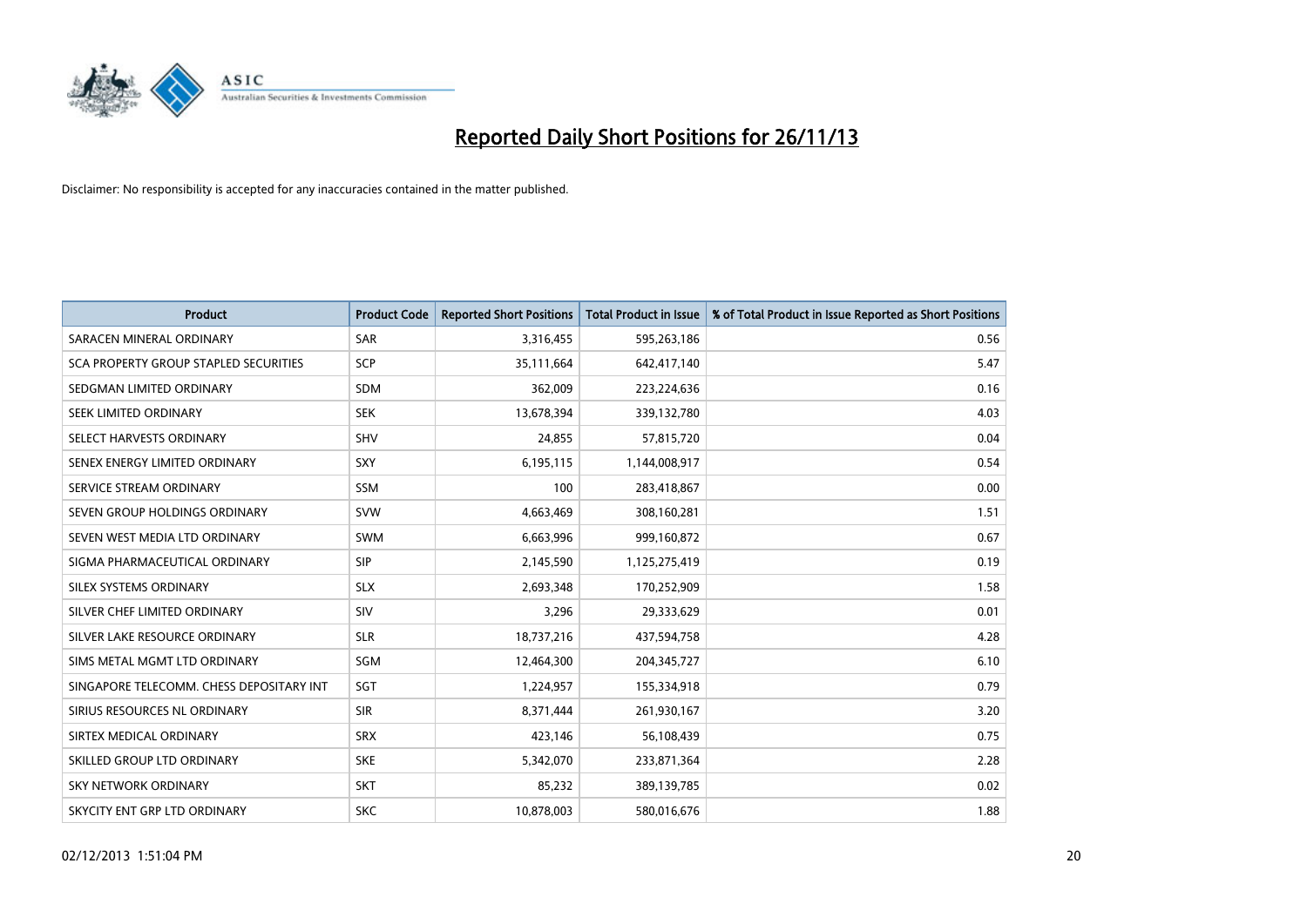

| <b>Product</b>                           | <b>Product Code</b> | <b>Reported Short Positions</b> | <b>Total Product in Issue</b> | % of Total Product in Issue Reported as Short Positions |
|------------------------------------------|---------------------|---------------------------------|-------------------------------|---------------------------------------------------------|
| SARACEN MINERAL ORDINARY                 | SAR                 | 3,316,455                       | 595,263,186                   | 0.56                                                    |
| SCA PROPERTY GROUP STAPLED SECURITIES    | <b>SCP</b>          | 35,111,664                      | 642,417,140                   | 5.47                                                    |
| SEDGMAN LIMITED ORDINARY                 | <b>SDM</b>          | 362,009                         | 223,224,636                   | 0.16                                                    |
| SEEK LIMITED ORDINARY                    | <b>SEK</b>          | 13,678,394                      | 339,132,780                   | 4.03                                                    |
| SELECT HARVESTS ORDINARY                 | <b>SHV</b>          | 24,855                          | 57,815,720                    | 0.04                                                    |
| SENEX ENERGY LIMITED ORDINARY            | <b>SXY</b>          | 6,195,115                       | 1,144,008,917                 | 0.54                                                    |
| SERVICE STREAM ORDINARY                  | <b>SSM</b>          | 100                             | 283,418,867                   | 0.00                                                    |
| SEVEN GROUP HOLDINGS ORDINARY            | <b>SVW</b>          | 4,663,469                       | 308,160,281                   | 1.51                                                    |
| SEVEN WEST MEDIA LTD ORDINARY            | <b>SWM</b>          | 6,663,996                       | 999,160,872                   | 0.67                                                    |
| SIGMA PHARMACEUTICAL ORDINARY            | <b>SIP</b>          | 2,145,590                       | 1,125,275,419                 | 0.19                                                    |
| SILEX SYSTEMS ORDINARY                   | <b>SLX</b>          | 2,693,348                       | 170,252,909                   | 1.58                                                    |
| SILVER CHEF LIMITED ORDINARY             | SIV                 | 3,296                           | 29,333,629                    | 0.01                                                    |
| SILVER LAKE RESOURCE ORDINARY            | <b>SLR</b>          | 18,737,216                      | 437,594,758                   | 4.28                                                    |
| SIMS METAL MGMT LTD ORDINARY             | SGM                 | 12,464,300                      | 204,345,727                   | 6.10                                                    |
| SINGAPORE TELECOMM. CHESS DEPOSITARY INT | SGT                 | 1,224,957                       | 155,334,918                   | 0.79                                                    |
| SIRIUS RESOURCES NL ORDINARY             | <b>SIR</b>          | 8,371,444                       | 261,930,167                   | 3.20                                                    |
| SIRTEX MEDICAL ORDINARY                  | <b>SRX</b>          | 423,146                         | 56,108,439                    | 0.75                                                    |
| SKILLED GROUP LTD ORDINARY               | <b>SKE</b>          | 5,342,070                       | 233,871,364                   | 2.28                                                    |
| <b>SKY NETWORK ORDINARY</b>              | <b>SKT</b>          | 85,232                          | 389,139,785                   | 0.02                                                    |
| SKYCITY ENT GRP LTD ORDINARY             | <b>SKC</b>          | 10.878.003                      | 580,016,676                   | 1.88                                                    |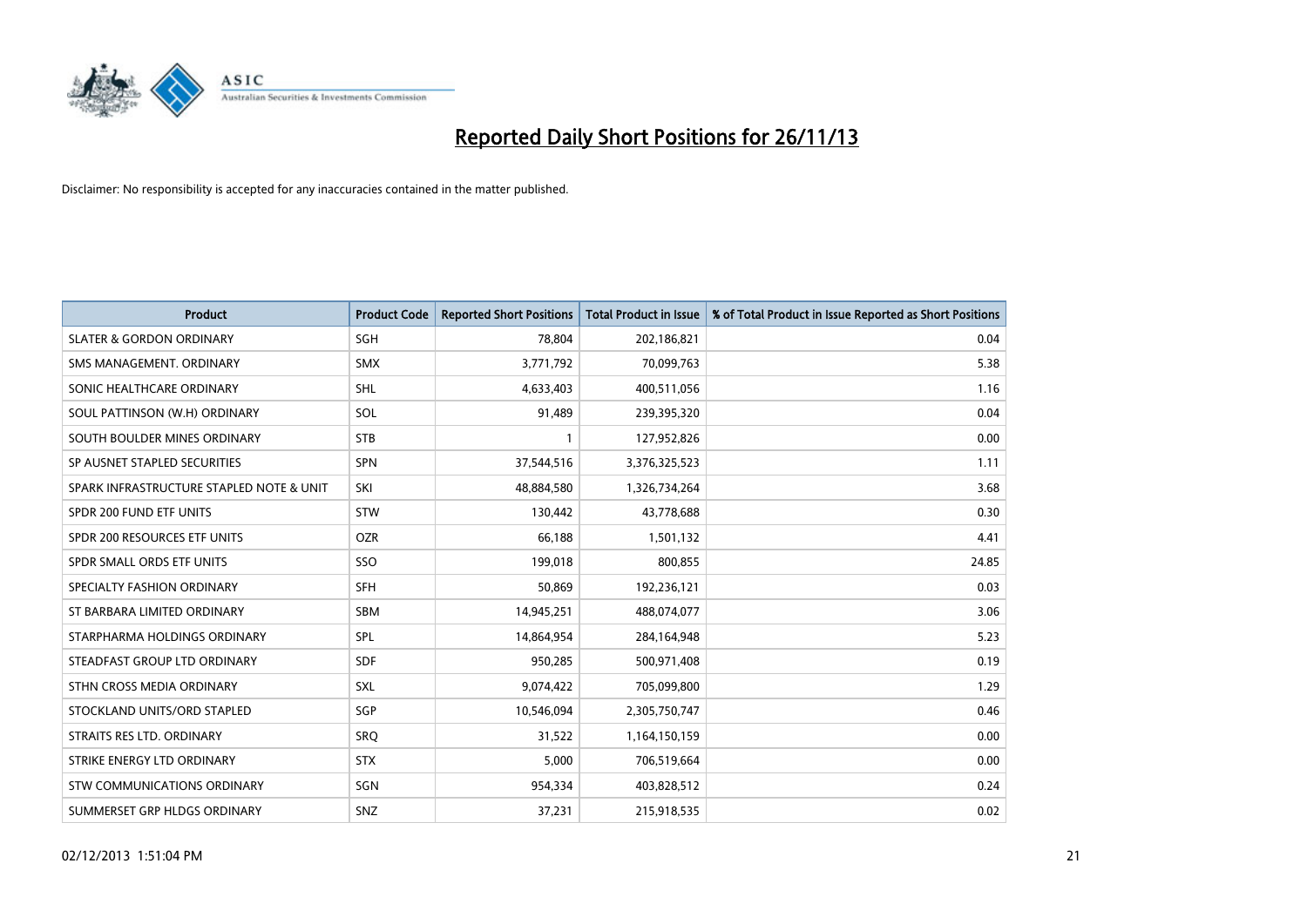

| <b>Product</b>                           | <b>Product Code</b> | <b>Reported Short Positions</b> | <b>Total Product in Issue</b> | % of Total Product in Issue Reported as Short Positions |
|------------------------------------------|---------------------|---------------------------------|-------------------------------|---------------------------------------------------------|
| <b>SLATER &amp; GORDON ORDINARY</b>      | SGH                 | 78,804                          | 202,186,821                   | 0.04                                                    |
| SMS MANAGEMENT. ORDINARY                 | <b>SMX</b>          | 3,771,792                       | 70,099,763                    | 5.38                                                    |
| SONIC HEALTHCARE ORDINARY                | <b>SHL</b>          | 4,633,403                       | 400,511,056                   | 1.16                                                    |
| SOUL PATTINSON (W.H) ORDINARY            | <b>SOL</b>          | 91,489                          | 239,395,320                   | 0.04                                                    |
| SOUTH BOULDER MINES ORDINARY             | <b>STB</b>          | 1                               | 127,952,826                   | 0.00                                                    |
| SP AUSNET STAPLED SECURITIES             | <b>SPN</b>          | 37,544,516                      | 3,376,325,523                 | 1.11                                                    |
| SPARK INFRASTRUCTURE STAPLED NOTE & UNIT | SKI                 | 48,884,580                      | 1,326,734,264                 | 3.68                                                    |
| SPDR 200 FUND ETF UNITS                  | <b>STW</b>          | 130,442                         | 43,778,688                    | 0.30                                                    |
| SPDR 200 RESOURCES ETF UNITS             | <b>OZR</b>          | 66,188                          | 1,501,132                     | 4.41                                                    |
| SPDR SMALL ORDS ETF UNITS                | SSO                 | 199,018                         | 800,855                       | 24.85                                                   |
| SPECIALTY FASHION ORDINARY               | <b>SFH</b>          | 50,869                          | 192,236,121                   | 0.03                                                    |
| ST BARBARA LIMITED ORDINARY              | <b>SBM</b>          | 14,945,251                      | 488,074,077                   | 3.06                                                    |
| STARPHARMA HOLDINGS ORDINARY             | <b>SPL</b>          | 14,864,954                      | 284,164,948                   | 5.23                                                    |
| STEADFAST GROUP LTD ORDINARY             | <b>SDF</b>          | 950,285                         | 500,971,408                   | 0.19                                                    |
| STHN CROSS MEDIA ORDINARY                | <b>SXL</b>          | 9,074,422                       | 705,099,800                   | 1.29                                                    |
| STOCKLAND UNITS/ORD STAPLED              | SGP                 | 10,546,094                      | 2,305,750,747                 | 0.46                                                    |
| STRAITS RES LTD. ORDINARY                | SRQ                 | 31,522                          | 1,164,150,159                 | 0.00                                                    |
| STRIKE ENERGY LTD ORDINARY               | <b>STX</b>          | 5,000                           | 706,519,664                   | 0.00                                                    |
| STW COMMUNICATIONS ORDINARY              | SGN                 | 954,334                         | 403,828,512                   | 0.24                                                    |
| SUMMERSET GRP HLDGS ORDINARY             | SNZ                 | 37,231                          | 215,918,535                   | 0.02                                                    |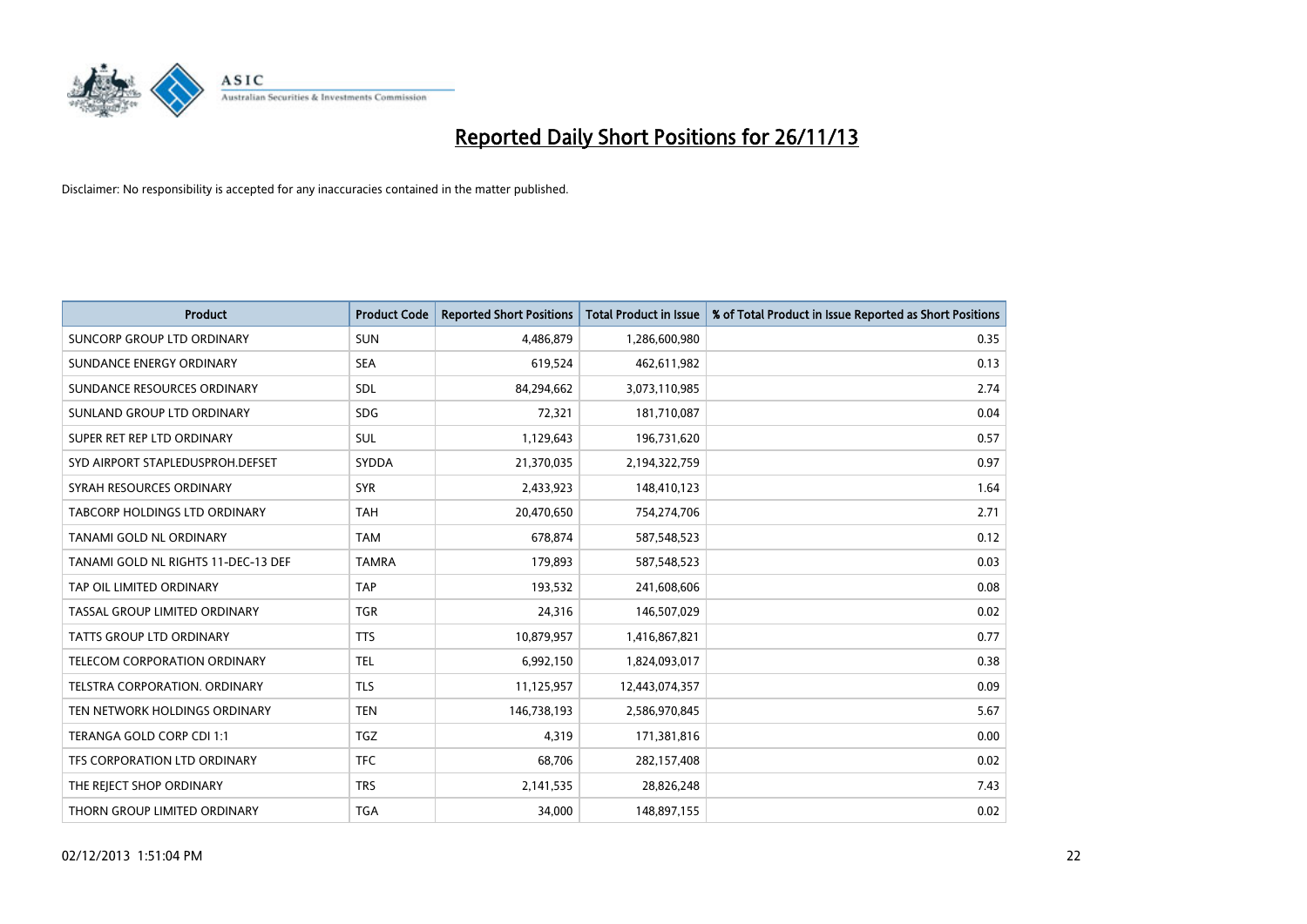

| <b>Product</b>                      | <b>Product Code</b> | <b>Reported Short Positions</b> | <b>Total Product in Issue</b> | % of Total Product in Issue Reported as Short Positions |
|-------------------------------------|---------------------|---------------------------------|-------------------------------|---------------------------------------------------------|
| SUNCORP GROUP LTD ORDINARY          | <b>SUN</b>          | 4,486,879                       | 1,286,600,980                 | 0.35                                                    |
| SUNDANCE ENERGY ORDINARY            | <b>SEA</b>          | 619,524                         | 462,611,982                   | 0.13                                                    |
| SUNDANCE RESOURCES ORDINARY         | <b>SDL</b>          | 84,294,662                      | 3,073,110,985                 | 2.74                                                    |
| SUNLAND GROUP LTD ORDINARY          | <b>SDG</b>          | 72,321                          | 181,710,087                   | 0.04                                                    |
| SUPER RET REP LTD ORDINARY          | <b>SUL</b>          | 1,129,643                       | 196,731,620                   | 0.57                                                    |
| SYD AIRPORT STAPLEDUSPROH.DEFSET    | SYDDA               | 21,370,035                      | 2,194,322,759                 | 0.97                                                    |
| SYRAH RESOURCES ORDINARY            | <b>SYR</b>          | 2,433,923                       | 148,410,123                   | 1.64                                                    |
| TABCORP HOLDINGS LTD ORDINARY       | <b>TAH</b>          | 20,470,650                      | 754,274,706                   | 2.71                                                    |
| TANAMI GOLD NL ORDINARY             | <b>TAM</b>          | 678,874                         | 587,548,523                   | 0.12                                                    |
| TANAMI GOLD NL RIGHTS 11-DEC-13 DEF | <b>TAMRA</b>        | 179,893                         | 587,548,523                   | 0.03                                                    |
| TAP OIL LIMITED ORDINARY            | <b>TAP</b>          | 193,532                         | 241,608,606                   | 0.08                                                    |
| TASSAL GROUP LIMITED ORDINARY       | <b>TGR</b>          | 24,316                          | 146,507,029                   | 0.02                                                    |
| <b>TATTS GROUP LTD ORDINARY</b>     | <b>TTS</b>          | 10,879,957                      | 1,416,867,821                 | 0.77                                                    |
| TELECOM CORPORATION ORDINARY        | <b>TEL</b>          | 6,992,150                       | 1,824,093,017                 | 0.38                                                    |
| TELSTRA CORPORATION. ORDINARY       | <b>TLS</b>          | 11,125,957                      | 12,443,074,357                | 0.09                                                    |
| TEN NETWORK HOLDINGS ORDINARY       | <b>TEN</b>          | 146,738,193                     | 2,586,970,845                 | 5.67                                                    |
| TERANGA GOLD CORP CDI 1:1           | <b>TGZ</b>          | 4,319                           | 171,381,816                   | 0.00                                                    |
| TFS CORPORATION LTD ORDINARY        | <b>TFC</b>          | 68,706                          | 282,157,408                   | 0.02                                                    |
| THE REJECT SHOP ORDINARY            | <b>TRS</b>          | 2,141,535                       | 28,826,248                    | 7.43                                                    |
| THORN GROUP LIMITED ORDINARY        | <b>TGA</b>          | 34,000                          | 148,897,155                   | 0.02                                                    |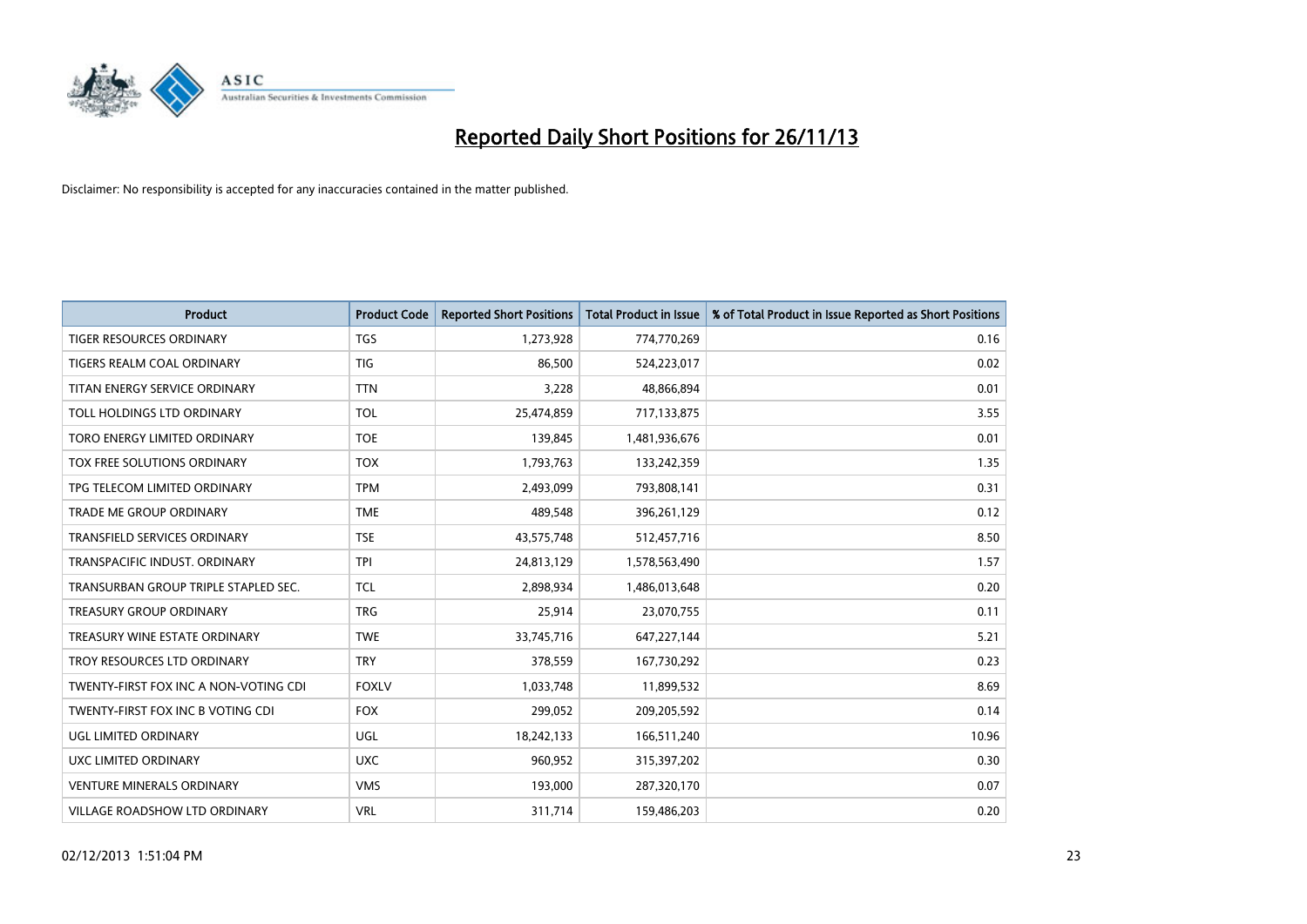

| <b>Product</b>                        | <b>Product Code</b> | <b>Reported Short Positions</b> | <b>Total Product in Issue</b> | % of Total Product in Issue Reported as Short Positions |
|---------------------------------------|---------------------|---------------------------------|-------------------------------|---------------------------------------------------------|
| <b>TIGER RESOURCES ORDINARY</b>       | <b>TGS</b>          | 1,273,928                       | 774,770,269                   | 0.16                                                    |
| TIGERS REALM COAL ORDINARY            | TIG                 | 86,500                          | 524,223,017                   | 0.02                                                    |
| TITAN ENERGY SERVICE ORDINARY         | <b>TTN</b>          | 3,228                           | 48,866,894                    | 0.01                                                    |
| TOLL HOLDINGS LTD ORDINARY            | <b>TOL</b>          | 25,474,859                      | 717,133,875                   | 3.55                                                    |
| TORO ENERGY LIMITED ORDINARY          | <b>TOE</b>          | 139,845                         | 1,481,936,676                 | 0.01                                                    |
| TOX FREE SOLUTIONS ORDINARY           | <b>TOX</b>          | 1,793,763                       | 133,242,359                   | 1.35                                                    |
| TPG TELECOM LIMITED ORDINARY          | <b>TPM</b>          | 2,493,099                       | 793,808,141                   | 0.31                                                    |
| TRADE ME GROUP ORDINARY               | <b>TME</b>          | 489,548                         | 396,261,129                   | 0.12                                                    |
| <b>TRANSFIELD SERVICES ORDINARY</b>   | <b>TSE</b>          | 43,575,748                      | 512,457,716                   | 8.50                                                    |
| TRANSPACIFIC INDUST, ORDINARY         | <b>TPI</b>          | 24,813,129                      | 1,578,563,490                 | 1.57                                                    |
| TRANSURBAN GROUP TRIPLE STAPLED SEC.  | <b>TCL</b>          | 2,898,934                       | 1,486,013,648                 | 0.20                                                    |
| <b>TREASURY GROUP ORDINARY</b>        | <b>TRG</b>          | 25,914                          | 23,070,755                    | 0.11                                                    |
| TREASURY WINE ESTATE ORDINARY         | <b>TWE</b>          | 33,745,716                      | 647,227,144                   | 5.21                                                    |
| TROY RESOURCES LTD ORDINARY           | <b>TRY</b>          | 378,559                         | 167,730,292                   | 0.23                                                    |
| TWENTY-FIRST FOX INC A NON-VOTING CDI | <b>FOXLV</b>        | 1,033,748                       | 11,899,532                    | 8.69                                                    |
| TWENTY-FIRST FOX INC B VOTING CDI     | <b>FOX</b>          | 299,052                         | 209,205,592                   | 0.14                                                    |
| UGL LIMITED ORDINARY                  | UGL                 | 18,242,133                      | 166,511,240                   | 10.96                                                   |
| <b>UXC LIMITED ORDINARY</b>           | <b>UXC</b>          | 960,952                         | 315,397,202                   | 0.30                                                    |
| <b>VENTURE MINERALS ORDINARY</b>      | <b>VMS</b>          | 193,000                         | 287,320,170                   | 0.07                                                    |
| VILLAGE ROADSHOW LTD ORDINARY         | <b>VRL</b>          | 311,714                         | 159,486,203                   | 0.20                                                    |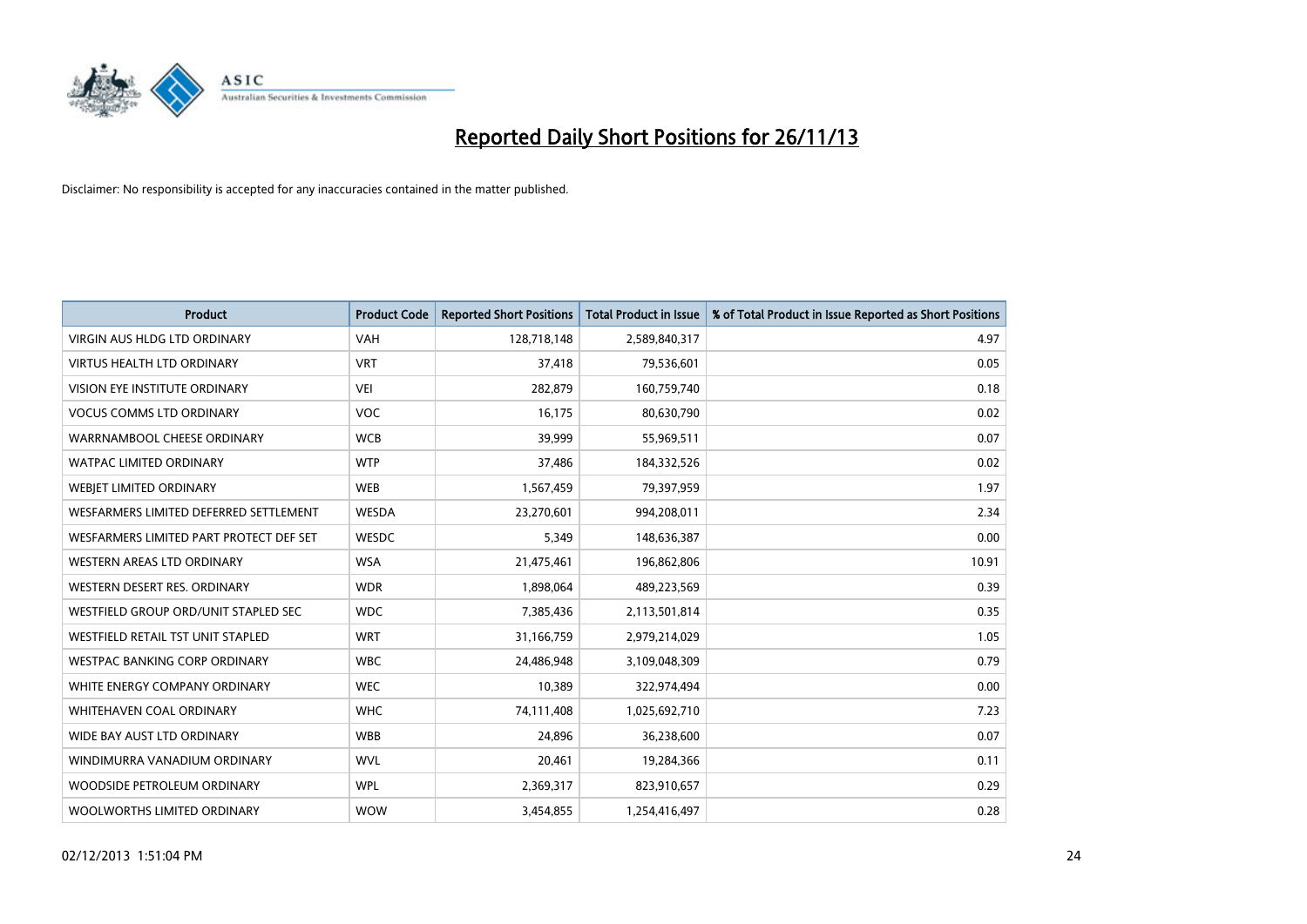

| <b>Product</b>                          | <b>Product Code</b> | <b>Reported Short Positions</b> | <b>Total Product in Issue</b> | % of Total Product in Issue Reported as Short Positions |
|-----------------------------------------|---------------------|---------------------------------|-------------------------------|---------------------------------------------------------|
| <b>VIRGIN AUS HLDG LTD ORDINARY</b>     | <b>VAH</b>          | 128,718,148                     | 2,589,840,317                 | 4.97                                                    |
| <b>VIRTUS HEALTH LTD ORDINARY</b>       | <b>VRT</b>          | 37,418                          | 79,536,601                    | 0.05                                                    |
| <b>VISION EYE INSTITUTE ORDINARY</b>    | VEI                 | 282,879                         | 160,759,740                   | 0.18                                                    |
| <b>VOCUS COMMS LTD ORDINARY</b>         | <b>VOC</b>          | 16,175                          | 80,630,790                    | 0.02                                                    |
| WARRNAMBOOL CHEESE ORDINARY             | <b>WCB</b>          | 39,999                          | 55,969,511                    | 0.07                                                    |
| <b>WATPAC LIMITED ORDINARY</b>          | <b>WTP</b>          | 37,486                          | 184,332,526                   | 0.02                                                    |
| WEBIET LIMITED ORDINARY                 | <b>WEB</b>          | 1,567,459                       | 79,397,959                    | 1.97                                                    |
| WESFARMERS LIMITED DEFERRED SETTLEMENT  | WESDA               | 23,270,601                      | 994,208,011                   | 2.34                                                    |
| WESFARMERS LIMITED PART PROTECT DEF SET | <b>WESDC</b>        | 5.349                           | 148,636,387                   | 0.00                                                    |
| WESTERN AREAS LTD ORDINARY              | <b>WSA</b>          | 21,475,461                      | 196,862,806                   | 10.91                                                   |
| WESTERN DESERT RES. ORDINARY            | <b>WDR</b>          | 1,898,064                       | 489,223,569                   | 0.39                                                    |
| WESTFIELD GROUP ORD/UNIT STAPLED SEC    | <b>WDC</b>          | 7,385,436                       | 2,113,501,814                 | 0.35                                                    |
| WESTFIELD RETAIL TST UNIT STAPLED       | <b>WRT</b>          | 31,166,759                      | 2,979,214,029                 | 1.05                                                    |
| <b>WESTPAC BANKING CORP ORDINARY</b>    | <b>WBC</b>          | 24,486,948                      | 3,109,048,309                 | 0.79                                                    |
| WHITE ENERGY COMPANY ORDINARY           | <b>WEC</b>          | 10,389                          | 322,974,494                   | 0.00                                                    |
| <b>WHITEHAVEN COAL ORDINARY</b>         | <b>WHC</b>          | 74,111,408                      | 1,025,692,710                 | 7.23                                                    |
| WIDE BAY AUST LTD ORDINARY              | <b>WBB</b>          | 24,896                          | 36,238,600                    | 0.07                                                    |
| WINDIMURRA VANADIUM ORDINARY            | <b>WVL</b>          | 20,461                          | 19,284,366                    | 0.11                                                    |
| WOODSIDE PETROLEUM ORDINARY             | <b>WPL</b>          | 2,369,317                       | 823,910,657                   | 0.29                                                    |
| WOOLWORTHS LIMITED ORDINARY             | <b>WOW</b>          | 3,454,855                       | 1,254,416,497                 | 0.28                                                    |